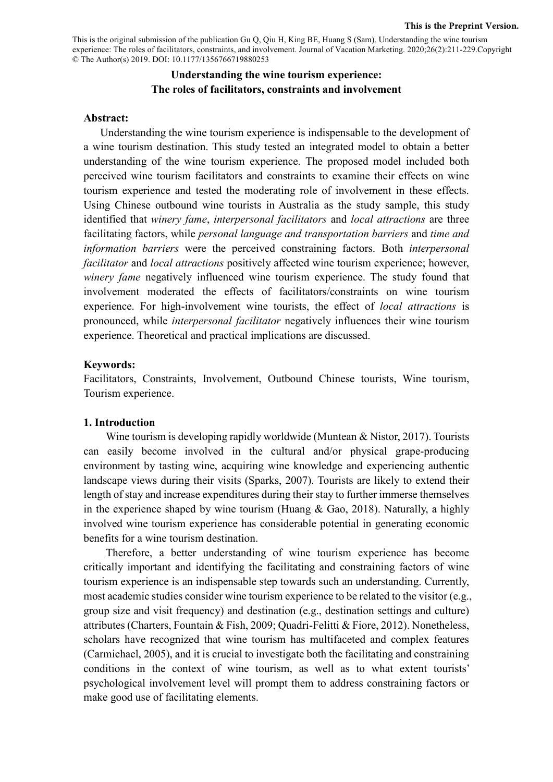This is the original submission of the publication Gu Q, Qiu H, King BE, Huang S (Sam). Understanding the wine tourism experience: The roles of facilitators, constraints, and involvement. Journal of Vacation Marketing. 2020;26(2):211-229.Copyright © The Author(s) 2019. DOI: 10.1177/1356766719880253

## **Understanding the wine tourism experience: The roles of facilitators, constraints and involvement**

#### **Abstract:**

Understanding the wine tourism experience is indispensable to the development of a wine tourism destination. This study tested an integrated model to obtain a better understanding of the wine tourism experience. The proposed model included both perceived wine tourism facilitators and constraints to examine their effects on wine tourism experience and tested the moderating role of involvement in these effects. Using Chinese outbound wine tourists in Australia as the study sample, this study identified that *winery fame*, *interpersonal facilitators* and *local attractions* are three facilitating factors, while *personal language and transportation barriers* and *time and information barriers* were the perceived constraining factors. Both *interpersonal facilitator* and *local attractions* positively affected wine tourism experience; however, *winery fame* negatively influenced wine tourism experience. The study found that involvement moderated the effects of facilitators/constraints on wine tourism experience. For high-involvement wine tourists, the effect of *local attractions* is pronounced, while *interpersonal facilitator* negatively influences their wine tourism experience. Theoretical and practical implications are discussed.

#### **Keywords:**

Facilitators, Constraints, Involvement, Outbound Chinese tourists, Wine tourism, Tourism experience.

## **1. Introduction**

Wine tourism is developing rapidly worldwide (Muntean & Nistor, 2017). Tourists can easily become involved in the cultural and/or physical grape-producing environment by tasting wine, acquiring wine knowledge and experiencing authentic landscape views during their visits (Sparks, 2007). Tourists are likely to extend their length of stay and increase expenditures during their stay to further immerse themselves in the experience shaped by wine tourism (Huang  $&$  Gao, 2018). Naturally, a highly involved wine tourism experience has considerable potential in generating economic benefits for a wine tourism destination.

Therefore, a better understanding of wine tourism experience has become critically important and identifying the facilitating and constraining factors of wine tourism experience is an indispensable step towards such an understanding. Currently, most academic studies consider wine tourism experience to be related to the visitor (e.g., group size and visit frequency) and destination (e.g., destination settings and culture) attributes (Charters, Fountain & Fish, 2009; Quadri-Felitti & Fiore, 2012). Nonetheless, scholars have recognized that wine tourism has multifaceted and complex features (Carmichael, 2005), and it is crucial to investigate both the facilitating and constraining conditions in the context of wine tourism, as well as to what extent tourists' psychological involvement level will prompt them to address constraining factors or make good use of facilitating elements.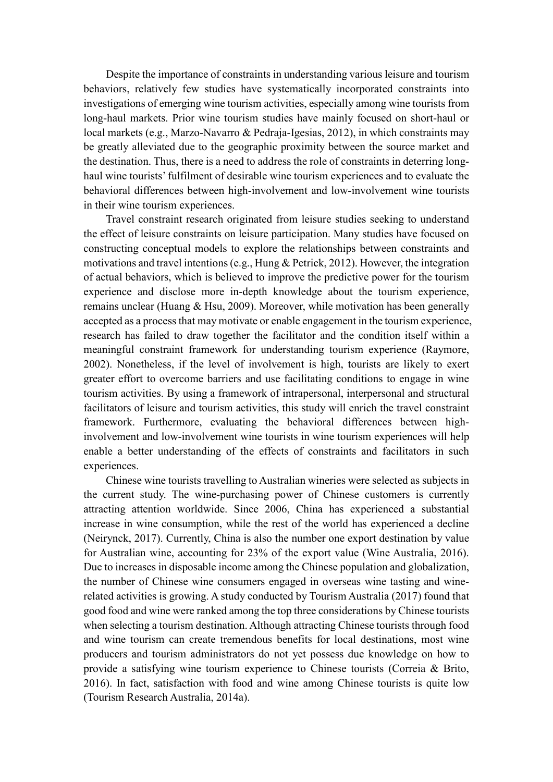Despite the importance of constraints in understanding various leisure and tourism behaviors, relatively few studies have systematically incorporated constraints into investigations of emerging wine tourism activities, especially among wine tourists from long-haul markets. Prior wine tourism studies have mainly focused on short-haul or local markets (e.g., Marzo-Navarro & Pedraja-Igesias, 2012), in which constraints may be greatly alleviated due to the geographic proximity between the source market and the destination. Thus, there is a need to address the role of constraints in deterring longhaul wine tourists' fulfilment of desirable wine tourism experiences and to evaluate the behavioral differences between high-involvement and low-involvement wine tourists in their wine tourism experiences.

Travel constraint research originated from leisure studies seeking to understand the effect of leisure constraints on leisure participation. Many studies have focused on constructing conceptual models to explore the relationships between constraints and motivations and travel intentions(e.g., Hung & Petrick, 2012). However, the integration of actual behaviors, which is believed to improve the predictive power for the tourism experience and disclose more in-depth knowledge about the tourism experience, remains unclear (Huang & Hsu, 2009). Moreover, while motivation has been generally accepted as a process that may motivate or enable engagement in the tourism experience, research has failed to draw together the facilitator and the condition itself within a meaningful constraint framework for understanding tourism experience (Raymore, 2002). Nonetheless, if the level of involvement is high, tourists are likely to exert greater effort to overcome barriers and use facilitating conditions to engage in wine tourism activities. By using a framework of intrapersonal, interpersonal and structural facilitators of leisure and tourism activities, this study will enrich the travel constraint framework. Furthermore, evaluating the behavioral differences between highinvolvement and low-involvement wine tourists in wine tourism experiences will help enable a better understanding of the effects of constraints and facilitators in such experiences.

Chinese wine tourists travelling to Australian wineries were selected as subjects in the current study. The wine-purchasing power of Chinese customers is currently attracting attention worldwide. Since 2006, China has experienced a substantial increase in wine consumption, while the rest of the world has experienced a decline (Neirynck, 2017). Currently, China is also the number one export destination by value for Australian wine, accounting for 23% of the export value (Wine Australia, 2016). Due to increases in disposable income among the Chinese population and globalization, the number of Chinese wine consumers engaged in overseas wine tasting and winerelated activities is growing. A study conducted by Tourism Australia (2017) found that good food and wine were ranked among the top three considerations by Chinese tourists when selecting a tourism destination. Although attracting Chinese tourists through food and wine tourism can create tremendous benefits for local destinations, most wine producers and tourism administrators do not yet possess due knowledge on how to provide a satisfying wine tourism experience to Chinese tourists (Correia & Brito, 2016). In fact, satisfaction with food and wine among Chinese tourists is quite low (Tourism Research Australia, 2014a).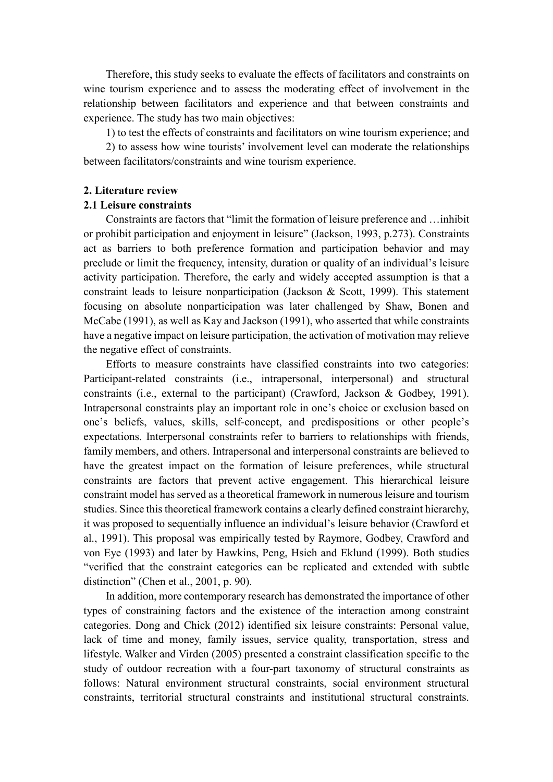Therefore, this study seeks to evaluate the effects of facilitators and constraints on wine tourism experience and to assess the moderating effect of involvement in the relationship between facilitators and experience and that between constraints and experience. The study has two main objectives:

1) to test the effects of constraints and facilitators on wine tourism experience; and

2) to assess how wine tourists' involvement level can moderate the relationships between facilitators/constraints and wine tourism experience.

#### **2. Literature review**

#### **2.1 Leisure constraints**

Constraints are factors that "limit the formation of leisure preference and …inhibit or prohibit participation and enjoyment in leisure" (Jackson, 1993, p.273). Constraints act as barriers to both preference formation and participation behavior and may preclude or limit the frequency, intensity, duration or quality of an individual's leisure activity participation. Therefore, the early and widely accepted assumption is that a constraint leads to leisure nonparticipation (Jackson & Scott, 1999). This statement focusing on absolute nonparticipation was later challenged by Shaw, Bonen and McCabe (1991), as well as Kay and Jackson (1991), who asserted that while constraints have a negative impact on leisure participation, the activation of motivation may relieve the negative effect of constraints.

Efforts to measure constraints have classified constraints into two categories: Participant-related constraints (i.e., intrapersonal, interpersonal) and structural constraints (i.e., external to the participant) (Crawford, Jackson & Godbey, 1991). Intrapersonal constraints play an important role in one's choice or exclusion based on one's beliefs, values, skills, self-concept, and predispositions or other people's expectations. Interpersonal constraints refer to barriers to relationships with friends, family members, and others. Intrapersonal and interpersonal constraints are believed to have the greatest impact on the formation of leisure preferences, while structural constraints are factors that prevent active engagement. This hierarchical leisure constraint model has served as a theoretical framework in numerous leisure and tourism studies. Since this theoretical framework contains a clearly defined constraint hierarchy, it was proposed to sequentially influence an individual's leisure behavior (Crawford et al., 1991). This proposal was empirically tested by Raymore, Godbey, Crawford and von Eye (1993) and later by Hawkins, Peng, Hsieh and Eklund (1999). Both studies "verified that the constraint categories can be replicated and extended with subtle distinction" (Chen et al., 2001, p. 90).

In addition, more contemporary research has demonstrated the importance of other types of constraining factors and the existence of the interaction among constraint categories. Dong and Chick (2012) identified six leisure constraints: Personal value, lack of time and money, family issues, service quality, transportation, stress and lifestyle. Walker and Virden (2005) presented a constraint classification specific to the study of outdoor recreation with a four-part taxonomy of structural constraints as follows: Natural environment structural constraints, social environment structural constraints, territorial structural constraints and institutional structural constraints.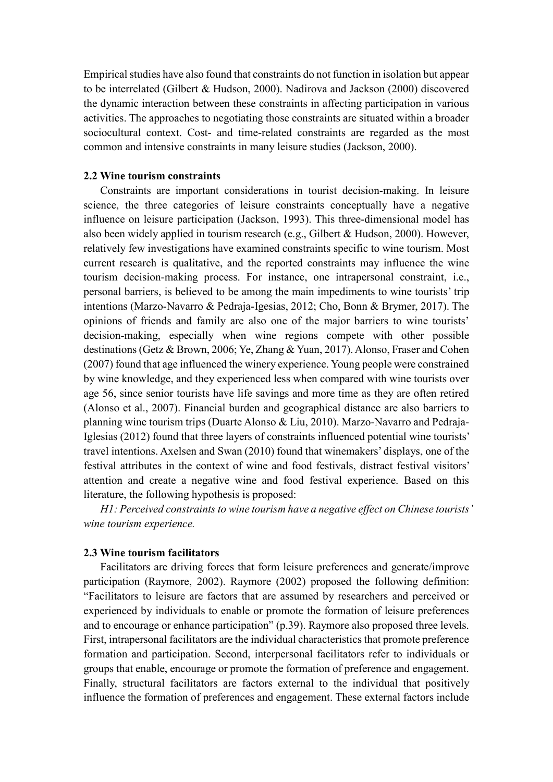Empirical studies have also found that constraints do not function in isolation but appear to be interrelated (Gilbert & Hudson, 2000). Nadirova and Jackson (2000) discovered the dynamic interaction between these constraints in affecting participation in various activities. The approaches to negotiating those constraints are situated within a broader sociocultural context. Cost- and time-related constraints are regarded as the most common and intensive constraints in many leisure studies (Jackson, 2000).

### **2.2 Wine tourism constraints**

 Constraints are important considerations in tourist decision-making. In leisure science, the three categories of leisure constraints conceptually have a negative influence on leisure participation (Jackson, 1993). This three-dimensional model has also been widely applied in tourism research (e.g., Gilbert & Hudson, 2000). However, relatively few investigations have examined constraints specific to wine tourism. Most current research is qualitative, and the reported constraints may influence the wine tourism decision-making process. For instance, one intrapersonal constraint, i.e., personal barriers, is believed to be among the main impediments to wine tourists' trip intentions (Marzo-Navarro & Pedraja-Igesias, 2012; Cho, Bonn & Brymer, 2017). The opinions of friends and family are also one of the major barriers to wine tourists' decision-making, especially when wine regions compete with other possible destinations (Getz & Brown, 2006; Ye, Zhang & Yuan, 2017). Alonso, Fraser and Cohen (2007) found that age influenced the winery experience. Young people were constrained by wine knowledge, and they experienced less when compared with wine tourists over age 56, since senior tourists have life savings and more time as they are often retired (Alonso et al., 2007). Financial burden and geographical distance are also barriers to planning wine tourism trips (Duarte Alonso & Liu, 2010). Marzo-Navarro and Pedraja-Iglesias (2012) found that three layers of constraints influenced potential wine tourists' travel intentions. Axelsen and Swan (2010) found that winemakers' displays, one of the festival attributes in the context of wine and food festivals, distract festival visitors' attention and create a negative wine and food festival experience. Based on this literature, the following hypothesis is proposed:

*H1: Perceived constraints to wine tourism have a negative effect on Chinese tourists' wine tourism experience.* 

## **2.3 Wine tourism facilitators**

Facilitators are driving forces that form leisure preferences and generate/improve participation (Raymore, 2002). Raymore (2002) proposed the following definition: "Facilitators to leisure are factors that are assumed by researchers and perceived or experienced by individuals to enable or promote the formation of leisure preferences and to encourage or enhance participation" (p.39). Raymore also proposed three levels. First, intrapersonal facilitators are the individual characteristics that promote preference formation and participation. Second, interpersonal facilitators refer to individuals or groups that enable, encourage or promote the formation of preference and engagement. Finally, structural facilitators are factors external to the individual that positively influence the formation of preferences and engagement. These external factors include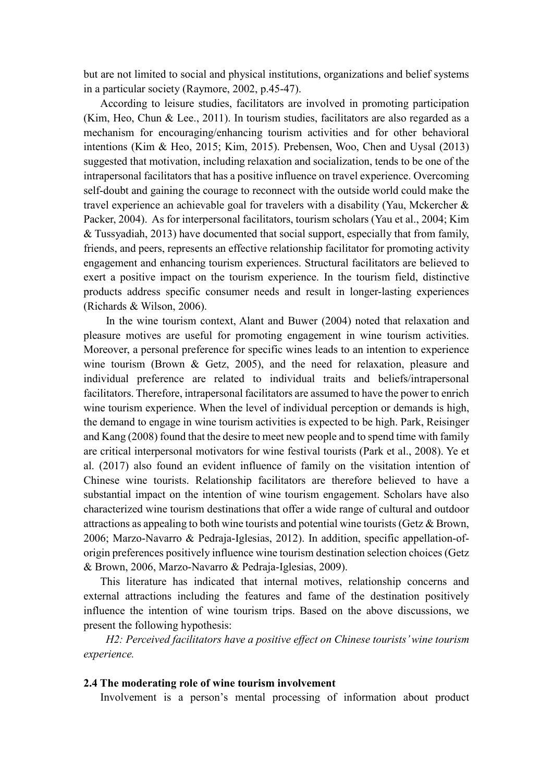but are not limited to social and physical institutions, organizations and belief systems in a particular society (Raymore, 2002, p.45-47).

According to leisure studies, facilitators are involved in promoting participation (Kim, Heo, Chun & Lee., 2011). In tourism studies, facilitators are also regarded as a mechanism for encouraging/enhancing tourism activities and for other behavioral intentions (Kim & Heo, 2015; Kim, 2015). Prebensen, Woo, Chen and Uysal (2013) suggested that motivation, including relaxation and socialization, tends to be one of the intrapersonal facilitators that has a positive influence on travel experience. Overcoming self-doubt and gaining the courage to reconnect with the outside world could make the travel experience an achievable goal for travelers with a disability (Yau, Mckercher & Packer, 2004). As for interpersonal facilitators, tourism scholars (Yau et al., 2004; Kim & Tussyadiah, 2013) have documented that social support, especially that from family, friends, and peers, represents an effective relationship facilitator for promoting activity engagement and enhancing tourism experiences. Structural facilitators are believed to exert a positive impact on the tourism experience. In the tourism field, distinctive products address specific consumer needs and result in longer-lasting experiences (Richards & Wilson, 2006).

In the wine tourism context, Alant and Buwer (2004) noted that relaxation and pleasure motives are useful for promoting engagement in wine tourism activities. Moreover, a personal preference for specific wines leads to an intention to experience wine tourism (Brown & Getz, 2005), and the need for relaxation, pleasure and individual preference are related to individual traits and beliefs/intrapersonal facilitators. Therefore, intrapersonal facilitators are assumed to have the power to enrich wine tourism experience. When the level of individual perception or demands is high, the demand to engage in wine tourism activities is expected to be high. Park, Reisinger and Kang (2008) found that the desire to meet new people and to spend time with family are critical interpersonal motivators for wine festival tourists (Park et al., 2008). Ye et al. (2017) also found an evident influence of family on the visitation intention of Chinese wine tourists. Relationship facilitators are therefore believed to have a substantial impact on the intention of wine tourism engagement. Scholars have also characterized wine tourism destinations that offer a wide range of cultural and outdoor attractions as appealing to both wine tourists and potential wine tourists (Getz & Brown, 2006; Marzo-Navarro & Pedraja-Iglesias, 2012). In addition, specific appellation-oforigin preferences positively influence wine tourism destination selection choices (Getz & Brown, 2006, Marzo‐Navarro & Pedraja‐Iglesias, 2009).

This literature has indicated that internal motives, relationship concerns and external attractions including the features and fame of the destination positively influence the intention of wine tourism trips. Based on the above discussions, we present the following hypothesis:

*H2: Perceived facilitators have a positive effect on Chinese tourists' wine tourism experience.*

#### **2.4 The moderating role of wine tourism involvement**

Involvement is a person's mental processing of information about product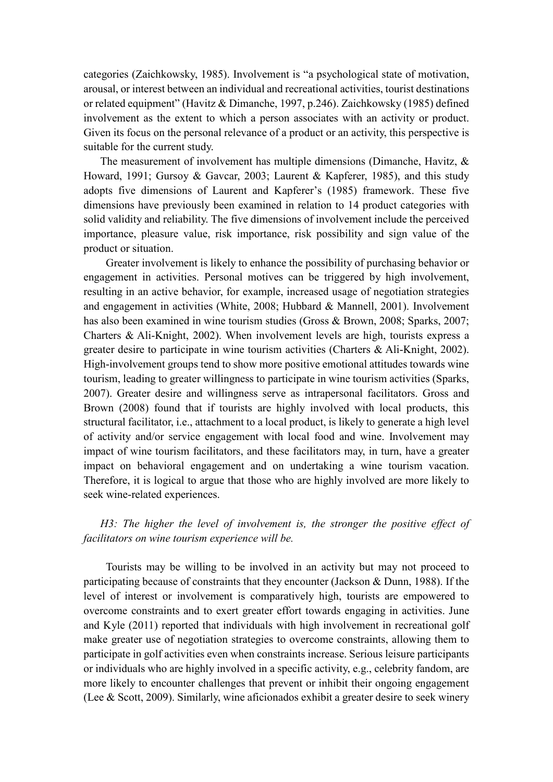categories (Zaichkowsky, 1985). Involvement is "a psychological state of motivation, arousal, or interest between an individual and recreational activities, tourist destinations or related equipment" (Havitz & Dimanche, 1997, p.246). Zaichkowsky (1985) defined involvement as the extent to which a person associates with an activity or product. Given its focus on the personal relevance of a product or an activity, this perspective is suitable for the current study.

The measurement of involvement has multiple dimensions (Dimanche, Havitz, & Howard, 1991; Gursoy & Gavcar, 2003; Laurent & Kapferer, 1985), and this study adopts five dimensions of Laurent and Kapferer's (1985) framework. These five dimensions have previously been examined in relation to 14 product categories with solid validity and reliability. The five dimensions of involvement include the perceived importance, pleasure value, risk importance, risk possibility and sign value of the product or situation.

Greater involvement is likely to enhance the possibility of purchasing behavior or engagement in activities. Personal motives can be triggered by high involvement, resulting in an active behavior, for example, increased usage of negotiation strategies and engagement in activities (White, 2008; Hubbard & Mannell, 2001). Involvement has also been examined in wine tourism studies (Gross & Brown, 2008; Sparks, 2007; Charters & Ali-Knight, 2002). When involvement levels are high, tourists express a greater desire to participate in wine tourism activities (Charters & Ali-Knight, 2002). High-involvement groups tend to show more positive emotional attitudes towards wine tourism, leading to greater willingness to participate in wine tourism activities (Sparks, 2007). Greater desire and willingness serve as intrapersonal facilitators. Gross and Brown (2008) found that if tourists are highly involved with local products, this structural facilitator, i.e., attachment to a local product, is likely to generate a high level of activity and/or service engagement with local food and wine. Involvement may impact of wine tourism facilitators, and these facilitators may, in turn, have a greater impact on behavioral engagement and on undertaking a wine tourism vacation. Therefore, it is logical to argue that those who are highly involved are more likely to seek wine-related experiences.

# *H3: The higher the level of involvement is, the stronger the positive effect of facilitators on wine tourism experience will be.*

Tourists may be willing to be involved in an activity but may not proceed to participating because of constraints that they encounter (Jackson & Dunn, 1988). If the level of interest or involvement is comparatively high, tourists are empowered to overcome constraints and to exert greater effort towards engaging in activities. June and Kyle (2011) reported that individuals with high involvement in recreational golf make greater use of negotiation strategies to overcome constraints, allowing them to participate in golf activities even when constraints increase. Serious leisure participants or individuals who are highly involved in a specific activity, e.g., celebrity fandom, are more likely to encounter challenges that prevent or inhibit their ongoing engagement (Lee & Scott, 2009). Similarly, wine aficionados exhibit a greater desire to seek winery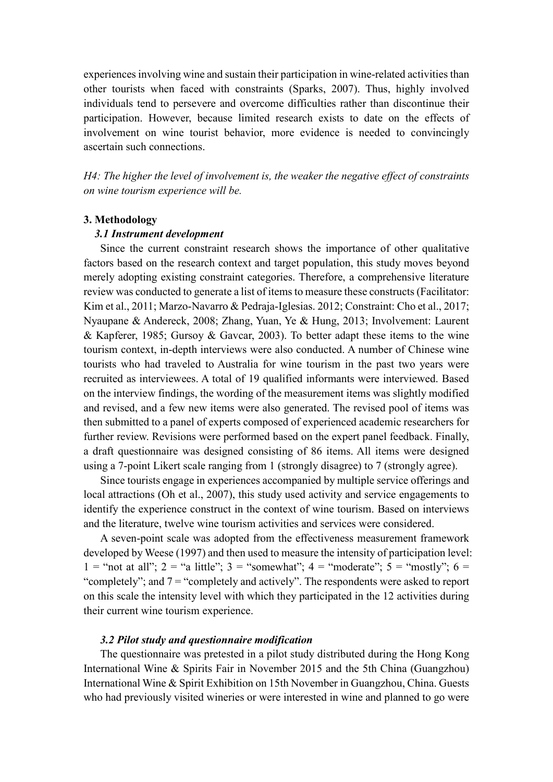experiences involving wine and sustain their participation in wine-related activities than other tourists when faced with constraints (Sparks, 2007). Thus, highly involved individuals tend to persevere and overcome difficulties rather than discontinue their participation. However, because limited research exists to date on the effects of involvement on wine tourist behavior, more evidence is needed to convincingly ascertain such connections.

*H4: The higher the level of involvement is, the weaker the negative effect of constraints on wine tourism experience will be.* 

## **3. Methodology**

## *3.1 Instrument development*

Since the current constraint research shows the importance of other qualitative factors based on the research context and target population, this study moves beyond merely adopting existing constraint categories. Therefore, a comprehensive literature review was conducted to generate a list of items to measure these constructs (Facilitator: Kim et al., 2011; Marzo-Navarro & Pedraja-Iglesias. 2012; Constraint: Cho et al., 2017; Nyaupane & Andereck, 2008; Zhang, Yuan, Ye & Hung, 2013; Involvement: Laurent & Kapferer, 1985; Gursoy & Gavcar, 2003). To better adapt these items to the wine tourism context, in-depth interviews were also conducted. A number of Chinese wine tourists who had traveled to Australia for wine tourism in the past two years were recruited as interviewees. A total of 19 qualified informants were interviewed. Based on the interview findings, the wording of the measurement items was slightly modified and revised, and a few new items were also generated. The revised pool of items was then submitted to a panel of experts composed of experienced academic researchers for further review. Revisions were performed based on the expert panel feedback. Finally, a draft questionnaire was designed consisting of 86 items. All items were designed using a 7-point Likert scale ranging from 1 (strongly disagree) to 7 (strongly agree).

Since tourists engage in experiences accompanied by multiple service offerings and local attractions (Oh et al., 2007), this study used activity and service engagements to identify the experience construct in the context of wine tourism. Based on interviews and the literature, twelve wine tourism activities and services were considered.

A seven-point scale was adopted from the effectiveness measurement framework developed by Weese (1997) and then used to measure the intensity of participation level: 1 = "not at all"; 2 = "a little"; 3 = "somewhat"; 4 = "moderate"; 5 = "mostly"; 6 = "completely"; and 7 = "completely and actively". The respondents were asked to report on this scale the intensity level with which they participated in the 12 activities during their current wine tourism experience.

#### *3.2 Pilot study and questionnaire modification*

 The questionnaire was pretested in a pilot study distributed during the Hong Kong International Wine & Spirits Fair in November 2015 and the 5th China (Guangzhou) International Wine & Spirit Exhibition on 15th November in Guangzhou, China. Guests who had previously visited wineries or were interested in wine and planned to go were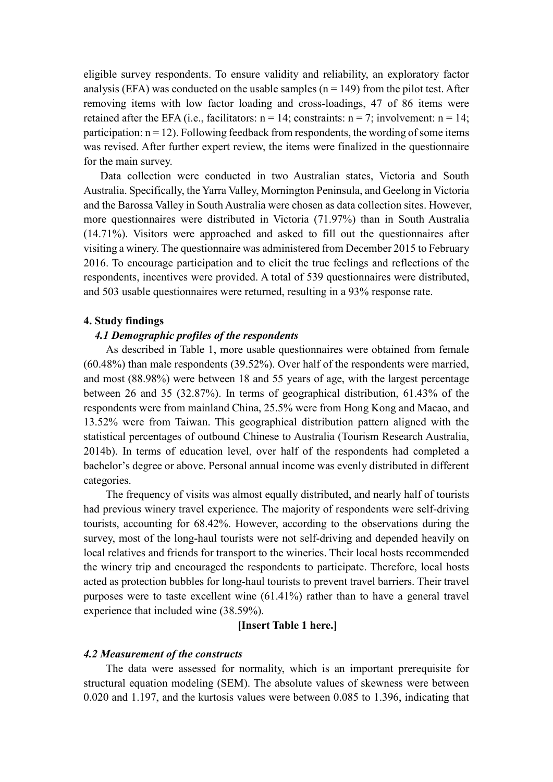eligible survey respondents. To ensure validity and reliability, an exploratory factor analysis (EFA) was conducted on the usable samples  $(n = 149)$  from the pilot test. After removing items with low factor loading and cross-loadings, 47 of 86 items were retained after the EFA (i.e., facilitators:  $n = 14$ ; constraints:  $n = 7$ ; involvement:  $n = 14$ ; participation:  $n = 12$ ). Following feedback from respondents, the wording of some items was revised. After further expert review, the items were finalized in the questionnaire for the main survey.

 Data collection were conducted in two Australian states, Victoria and South Australia. Specifically, the Yarra Valley, Mornington Peninsula, and Geelong in Victoria and the Barossa Valley in South Australia were chosen as data collection sites. However, more questionnaires were distributed in Victoria (71.97%) than in South Australia (14.71%). Visitors were approached and asked to fill out the questionnaires after visiting a winery. The questionnaire was administered from December 2015 to February 2016. To encourage participation and to elicit the true feelings and reflections of the respondents, incentives were provided. A total of 539 questionnaires were distributed, and 503 usable questionnaires were returned, resulting in a 93% response rate.

#### **4. Study findings**

## *4.1 Demographic profiles of the respondents*

As described in Table 1, more usable questionnaires were obtained from female (60.48%) than male respondents (39.52%). Over half of the respondents were married, and most (88.98%) were between 18 and 55 years of age, with the largest percentage between 26 and 35 (32.87%). In terms of geographical distribution, 61.43% of the respondents were from mainland China, 25.5% were from Hong Kong and Macao, and 13.52% were from Taiwan. This geographical distribution pattern aligned with the statistical percentages of outbound Chinese to Australia (Tourism Research Australia, 2014b). In terms of education level, over half of the respondents had completed a bachelor's degree or above. Personal annual income was evenly distributed in different categories.

The frequency of visits was almost equally distributed, and nearly half of tourists had previous winery travel experience. The majority of respondents were self-driving tourists, accounting for 68.42%. However, according to the observations during the survey, most of the long-haul tourists were not self-driving and depended heavily on local relatives and friends for transport to the wineries. Their local hosts recommended the winery trip and encouraged the respondents to participate. Therefore, local hosts acted as protection bubbles for long-haul tourists to prevent travel barriers. Their travel purposes were to taste excellent wine (61.41%) rather than to have a general travel experience that included wine (38.59%).

## **[Insert Table 1 here.]**

#### *4.2 Measurement of the constructs*

The data were assessed for normality, which is an important prerequisite for structural equation modeling (SEM). The absolute values of skewness were between 0.020 and 1.197, and the kurtosis values were between 0.085 to 1.396, indicating that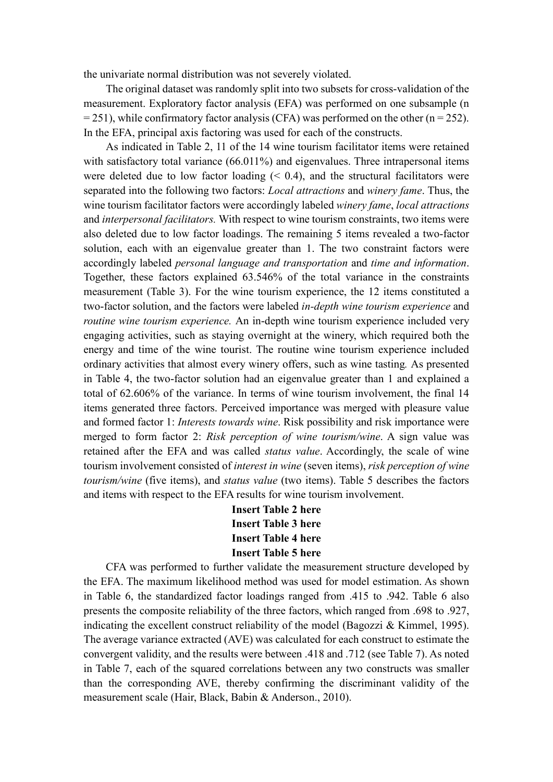the univariate normal distribution was not severely violated.

The original dataset was randomly split into two subsets for cross-validation of the measurement. Exploratory factor analysis (EFA) was performed on one subsample (n  $= 251$ ), while confirmatory factor analysis (CFA) was performed on the other (n = 252). In the EFA, principal axis factoring was used for each of the constructs.

As indicated in Table 2, 11 of the 14 wine tourism facilitator items were retained with satisfactory total variance (66.011%) and eigenvalues. Three intrapersonal items were deleted due to low factor loading  $(0.4)$ , and the structural facilitators were separated into the following two factors: *Local attractions* and *winery fame*. Thus, the wine tourism facilitator factors were accordingly labeled *winery fame*, *local attractions*  and *interpersonal facilitators.* With respect to wine tourism constraints, two items were also deleted due to low factor loadings. The remaining 5 items revealed a two-factor solution, each with an eigenvalue greater than 1. The two constraint factors were accordingly labeled *personal language and transportation* and *time and information*. Together, these factors explained 63.546% of the total variance in the constraints measurement (Table 3). For the wine tourism experience, the 12 items constituted a two-factor solution, and the factors were labeled *in-depth wine tourism experience* and *routine wine tourism experience.* An in-depth wine tourism experience included very engaging activities, such as staying overnight at the winery, which required both the energy and time of the wine tourist. The routine wine tourism experience included ordinary activities that almost every winery offers, such as wine tasting*.* As presented in Table 4, the two-factor solution had an eigenvalue greater than 1 and explained a total of 62.606% of the variance. In terms of wine tourism involvement, the final 14 items generated three factors. Perceived importance was merged with pleasure value and formed factor 1: *Interests towards wine*. Risk possibility and risk importance were merged to form factor 2: *Risk perception of wine tourism/wine*. A sign value was retained after the EFA and was called *status value*. Accordingly, the scale of wine tourism involvement consisted of *interest in wine* (seven items), *risk perception of wine tourism/wine* (five items), and *status value* (two items). Table 5 describes the factors and items with respect to the EFA results for wine tourism involvement.

> **Insert Table 2 here Insert Table 3 here Insert Table 4 here Insert Table 5 here**

CFA was performed to further validate the measurement structure developed by the EFA. The maximum likelihood method was used for model estimation. As shown in Table 6, the standardized factor loadings ranged from .415 to .942. Table 6 also presents the composite reliability of the three factors, which ranged from .698 to .927, indicating the excellent construct reliability of the model (Bagozzi  $\&$  Kimmel, 1995). The average variance extracted (AVE) was calculated for each construct to estimate the convergent validity, and the results were between .418 and .712 (see Table 7). As noted in Table 7, each of the squared correlations between any two constructs was smaller than the corresponding AVE, thereby confirming the discriminant validity of the measurement scale (Hair, Black, Babin & Anderson., 2010).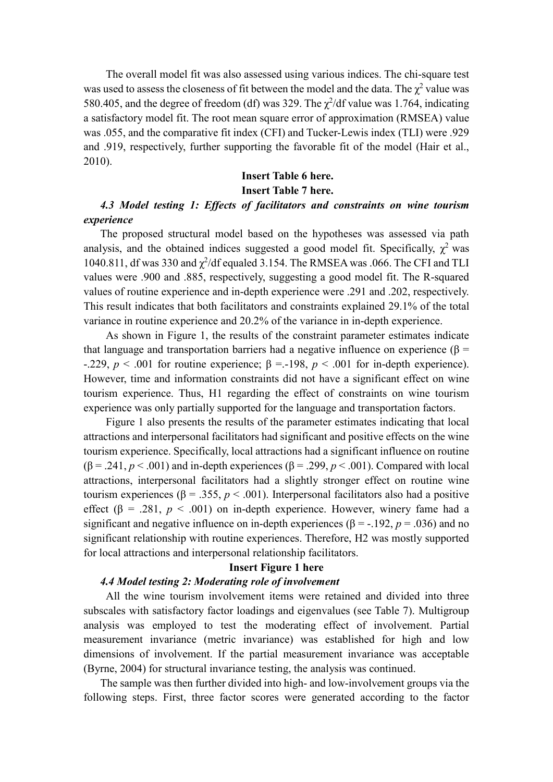The overall model fit was also assessed using various indices. The chi-square test was used to assess the closeness of fit between the model and the data. The  $\chi^2$  value was 580.405, and the degree of freedom (df) was 329. The  $\chi^2$ /df value was 1.764, indicating a satisfactory model fit. The root mean square error of approximation (RMSEA) value was .055, and the comparative fit index (CFI) and Tucker-Lewis index (TLI) were .929 and .919, respectively, further supporting the favorable fit of the model (Hair et al., 2010).

# **Insert Table 6 here. Insert Table 7 here.**

## *4.3 Model testing 1: Effects of facilitators and constraints on wine tourism experience*

The proposed structural model based on the hypotheses was assessed via path analysis, and the obtained indices suggested a good model fit. Specifically,  $\chi^2$  was 1040.811, df was 330 and  $\chi^2$ /df equaled 3.154. The RMSEA was .066. The CFI and TLI values were .900 and .885, respectively, suggesting a good model fit. The R-squared values of routine experience and in-depth experience were .291 and .202, respectively. This result indicates that both facilitators and constraints explained 29.1% of the total variance in routine experience and 20.2% of the variance in in-depth experience.

As shown in Figure 1, the results of the constraint parameter estimates indicate that language and transportation barriers had a negative influence on experience (β = -.229,  $p < .001$  for routine experience;  $β = .198$ ,  $p < .001$  for in-depth experience). However, time and information constraints did not have a significant effect on wine tourism experience. Thus, H1 regarding the effect of constraints on wine tourism experience was only partially supported for the language and transportation factors.

Figure 1 also presents the results of the parameter estimates indicating that local attractions and interpersonal facilitators had significant and positive effects on the wine tourism experience. Specifically, local attractions had a significant influence on routine  $(\beta = .241, p < .001)$  and in-depth experiences  $(\beta = .299, p < .001)$ . Compared with local attractions, interpersonal facilitators had a slightly stronger effect on routine wine tourism experiences ( $β = .355, p < .001$ ). Interpersonal facilitators also had a positive effect ( $\beta$  = .281,  $p$  < .001) on in-depth experience. However, winery fame had a significant and negative influence on in-depth experiences ( $\beta$  = -.192, *p* = .036) and no significant relationship with routine experiences. Therefore, H2 was mostly supported for local attractions and interpersonal relationship facilitators.

## **Insert Figure 1 here**

#### *4.4 Model testing 2: Moderating role of involvement*

All the wine tourism involvement items were retained and divided into three subscales with satisfactory factor loadings and eigenvalues (see Table 7). Multigroup analysis was employed to test the moderating effect of involvement. Partial measurement invariance (metric invariance) was established for high and low dimensions of involvement. If the partial measurement invariance was acceptable (Byrne, 2004) for structural invariance testing, the analysis was continued.

The sample was then further divided into high- and low-involvement groups via the following steps. First, three factor scores were generated according to the factor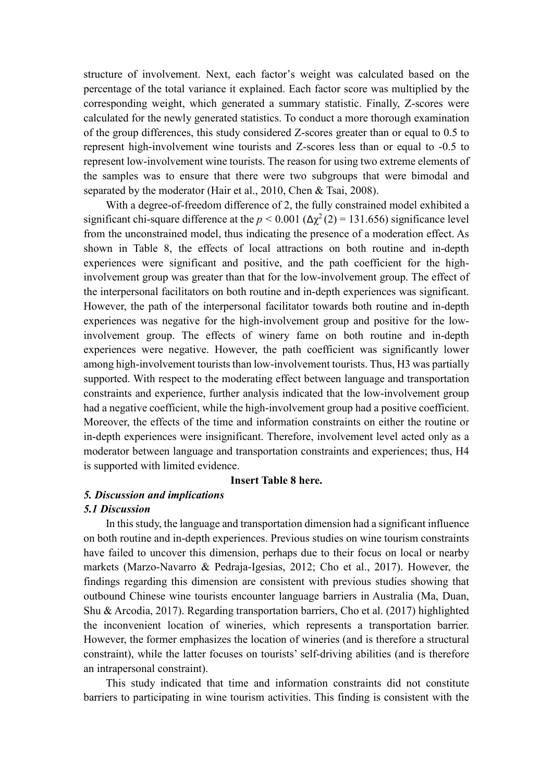structure of involvement. Next, each factor's weight was calculated based on the percentage of the total variance it explained. Each factor score was multiplied by the corresponding weight, which generated a summary statistic. Finally, Z-scores were calculated for the newly generated statistics. To conduct a more thorough examination of the group differences, this study considered Z-scores greater than or equal to 0.5 to represent high-involvement wine tourists and Z-scores less than or equal to -0.5 to represent low-involvement wine tourists. The reason for using two extreme elements of the samples was to ensure that there were two subgroups that were bimodal and separated by the moderator (Hair et al., 2010, Chen & Tsai, 2008).

With a degree-of-freedom difference of 2, the fully constrained model exhibited a significant chi-square difference at the  $p < 0.001$  ( $\Delta \chi^2$  (2) = 131.656) significance level from the unconstrained model, thus indicating the presence of a moderation effect. As shown in Table 8, the effects of local attractions on both routine and in-depth experiences were significant and positive, and the path coefficient for the highinvolvement group was greater than that for the low-involvement group. The effect of the interpersonal facilitators on both routine and in-depth experiences was significant. However, the path of the interpersonal facilitator towards both routine and in-depth experiences was negative for the high-involvement group and positive for the lowinvolvement group. The effects of winery fame on both routine and in-depth experiences were negative. However, the path coefficient was significantly lower among high-involvement tourists than low-involvement tourists. Thus, H3 was partially supported. With respect to the moderating effect between language and transportation constraints and experience, further analysis indicated that the low-involvement group had a negative coefficient, while the high-involvement group had a positive coefficient. Moreover, the effects of the time and information constraints on either the routine or in-depth experiences were insignificant. Therefore, involvement level acted only as a moderator between language and transportation constraints and experiences; thus, H4 is supported with limited evidence.

#### **Insert Table 8 here.**

## *5. Discussion and implications*

#### *5.1 Discussion*

In this study, the language and transportation dimension had a significant influence on both routine and in-depth experiences. Previous studies on wine tourism constraints have failed to uncover this dimension, perhaps due to their focus on local or nearby markets (Marzo-Navarro & Pedraja-Igesias, 2012; Cho et al., 2017). However, the findings regarding this dimension are consistent with previous studies showing that outbound Chinese wine tourists encounter language barriers in Australia (Ma, Duan, Shu & Arcodia, 2017). Regarding transportation barriers, Cho et al. (2017) highlighted the inconvenient location of wineries, which represents a transportation barrier. However, the former emphasizes the location of wineries (and is therefore a structural constraint), while the latter focuses on tourists' self-driving abilities (and is therefore an intrapersonal constraint).

This study indicated that time and information constraints did not constitute barriers to participating in wine tourism activities. This finding is consistent with the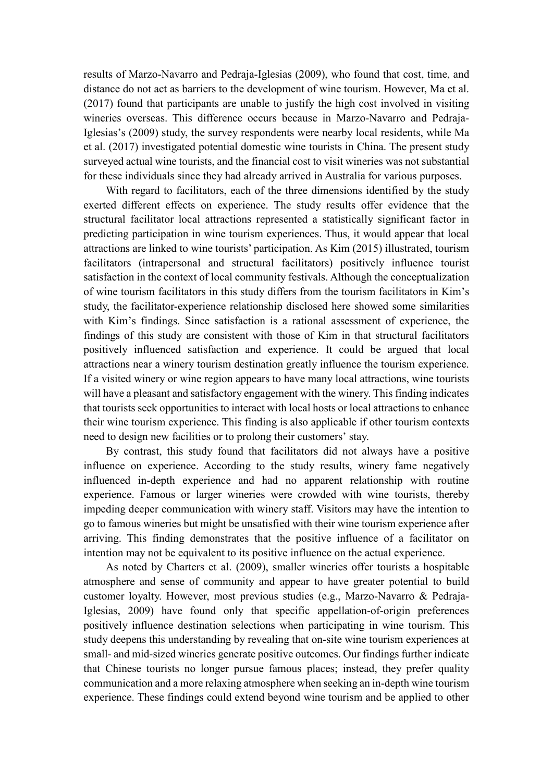results of Marzo‐Navarro and Pedraja‐Iglesias (2009), who found that cost, time, and distance do not act as barriers to the development of wine tourism. However, Ma et al. (2017) found that participants are unable to justify the high cost involved in visiting wineries overseas. This difference occurs because in Marzo-Navarro and Pedraja-Iglesias's (2009) study, the survey respondents were nearby local residents, while Ma et al. (2017) investigated potential domestic wine tourists in China. The present study surveyed actual wine tourists, and the financial cost to visit wineries was not substantial for these individuals since they had already arrived in Australia for various purposes.

With regard to facilitators, each of the three dimensions identified by the study exerted different effects on experience. The study results offer evidence that the structural facilitator local attractions represented a statistically significant factor in predicting participation in wine tourism experiences. Thus, it would appear that local attractions are linked to wine tourists' participation. As Kim (2015) illustrated, tourism facilitators (intrapersonal and structural facilitators) positively influence tourist satisfaction in the context of local community festivals. Although the conceptualization of wine tourism facilitators in this study differs from the tourism facilitators in Kim's study, the facilitator-experience relationship disclosed here showed some similarities with Kim's findings. Since satisfaction is a rational assessment of experience, the findings of this study are consistent with those of Kim in that structural facilitators positively influenced satisfaction and experience. It could be argued that local attractions near a winery tourism destination greatly influence the tourism experience. If a visited winery or wine region appears to have many local attractions, wine tourists will have a pleasant and satisfactory engagement with the winery. This finding indicates that tourists seek opportunities to interact with local hosts or local attractions to enhance their wine tourism experience. This finding is also applicable if other tourism contexts need to design new facilities or to prolong their customers' stay.

By contrast, this study found that facilitators did not always have a positive influence on experience. According to the study results, winery fame negatively influenced in-depth experience and had no apparent relationship with routine experience. Famous or larger wineries were crowded with wine tourists, thereby impeding deeper communication with winery staff. Visitors may have the intention to go to famous wineries but might be unsatisfied with their wine tourism experience after arriving. This finding demonstrates that the positive influence of a facilitator on intention may not be equivalent to its positive influence on the actual experience.

As noted by Charters et al. (2009), smaller wineries offer tourists a hospitable atmosphere and sense of community and appear to have greater potential to build customer loyalty. However, most previous studies (e.g., Marzo‐Navarro & Pedraja‐ Iglesias, 2009) have found only that specific appellation-of-origin preferences positively influence destination selections when participating in wine tourism. This study deepens this understanding by revealing that on-site wine tourism experiences at small- and mid-sized wineries generate positive outcomes. Our findings further indicate that Chinese tourists no longer pursue famous places; instead, they prefer quality communication and a more relaxing atmosphere when seeking an in-depth wine tourism experience. These findings could extend beyond wine tourism and be applied to other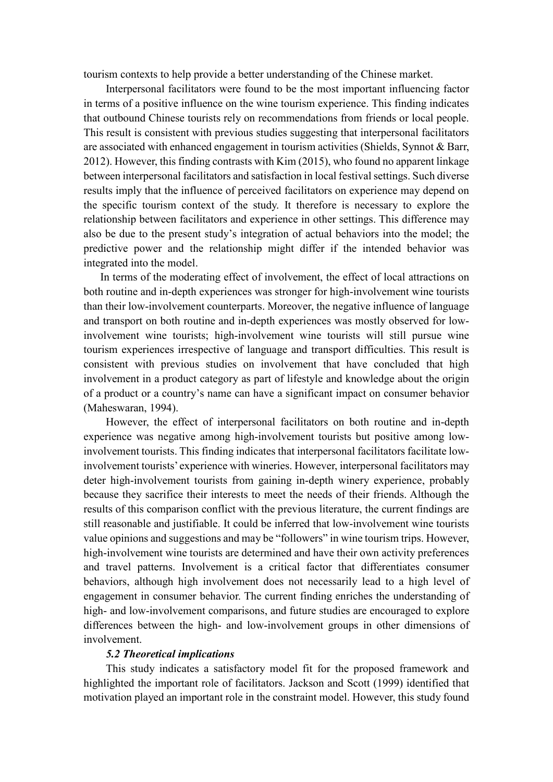tourism contexts to help provide a better understanding of the Chinese market.

Interpersonal facilitators were found to be the most important influencing factor in terms of a positive influence on the wine tourism experience. This finding indicates that outbound Chinese tourists rely on recommendations from friends or local people. This result is consistent with previous studies suggesting that interpersonal facilitators are associated with enhanced engagement in tourism activities (Shields, Synnot & Barr, 2012). However, this finding contrasts with Kim (2015), who found no apparent linkage between interpersonal facilitators and satisfaction in local festival settings. Such diverse results imply that the influence of perceived facilitators on experience may depend on the specific tourism context of the study. It therefore is necessary to explore the relationship between facilitators and experience in other settings. This difference may also be due to the present study's integration of actual behaviors into the model; the predictive power and the relationship might differ if the intended behavior was integrated into the model.

In terms of the moderating effect of involvement, the effect of local attractions on both routine and in-depth experiences was stronger for high-involvement wine tourists than their low-involvement counterparts. Moreover, the negative influence of language and transport on both routine and in-depth experiences was mostly observed for lowinvolvement wine tourists; high-involvement wine tourists will still pursue wine tourism experiences irrespective of language and transport difficulties. This result is consistent with previous studies on involvement that have concluded that high involvement in a product category as part of lifestyle and knowledge about the origin of a product or a country's name can have a significant impact on consumer behavior (Maheswaran, 1994).

However, the effect of interpersonal facilitators on both routine and in-depth experience was negative among high-involvement tourists but positive among lowinvolvement tourists. This finding indicates that interpersonal facilitators facilitate lowinvolvement tourists' experience with wineries. However, interpersonal facilitators may deter high-involvement tourists from gaining in-depth winery experience, probably because they sacrifice their interests to meet the needs of their friends. Although the results of this comparison conflict with the previous literature, the current findings are still reasonable and justifiable. It could be inferred that low-involvement wine tourists value opinions and suggestions and may be "followers" in wine tourism trips. However, high-involvement wine tourists are determined and have their own activity preferences and travel patterns. Involvement is a critical factor that differentiates consumer behaviors, although high involvement does not necessarily lead to a high level of engagement in consumer behavior. The current finding enriches the understanding of high- and low-involvement comparisons, and future studies are encouraged to explore differences between the high- and low-involvement groups in other dimensions of involvement.

#### *5.2 Theoretical implications*

This study indicates a satisfactory model fit for the proposed framework and highlighted the important role of facilitators. Jackson and Scott (1999) identified that motivation played an important role in the constraint model. However, this study found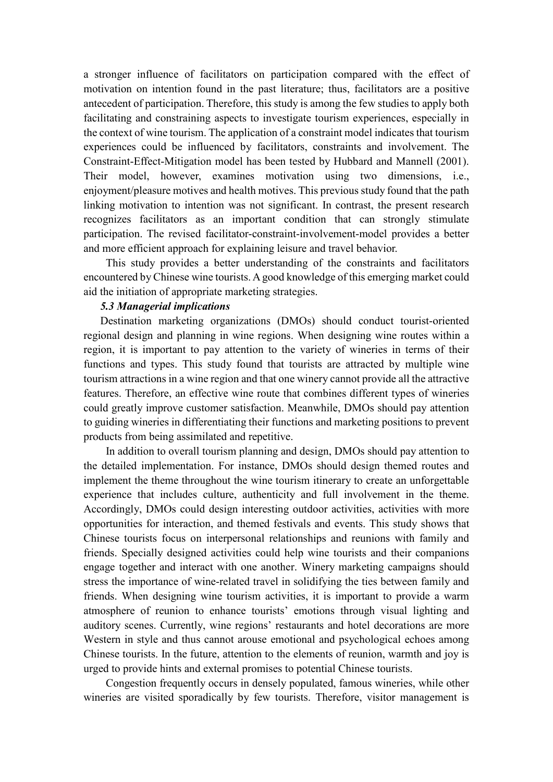a stronger influence of facilitators on participation compared with the effect of motivation on intention found in the past literature; thus, facilitators are a positive antecedent of participation. Therefore, this study is among the few studies to apply both facilitating and constraining aspects to investigate tourism experiences, especially in the context of wine tourism. The application of a constraint model indicates that tourism experiences could be influenced by facilitators, constraints and involvement. The Constraint-Effect-Mitigation model has been tested by Hubbard and Mannell (2001). Their model, however, examines motivation using two dimensions, i.e., enjoyment/pleasure motives and health motives. This previous study found that the path linking motivation to intention was not significant. In contrast, the present research recognizes facilitators as an important condition that can strongly stimulate participation. The revised facilitator-constraint-involvement-model provides a better and more efficient approach for explaining leisure and travel behavior.

This study provides a better understanding of the constraints and facilitators encountered by Chinese wine tourists. Agood knowledge of this emerging market could aid the initiation of appropriate marketing strategies.

### *5.3 Managerial implications*

Destination marketing organizations (DMOs) should conduct tourist-oriented regional design and planning in wine regions. When designing wine routes within a region, it is important to pay attention to the variety of wineries in terms of their functions and types. This study found that tourists are attracted by multiple wine tourism attractions in a wine region and that one winery cannot provide all the attractive features. Therefore, an effective wine route that combines different types of wineries could greatly improve customer satisfaction. Meanwhile, DMOs should pay attention to guiding wineries in differentiating their functions and marketing positions to prevent products from being assimilated and repetitive.

In addition to overall tourism planning and design, DMOs should pay attention to the detailed implementation. For instance, DMOs should design themed routes and implement the theme throughout the wine tourism itinerary to create an unforgettable experience that includes culture, authenticity and full involvement in the theme. Accordingly, DMOs could design interesting outdoor activities, activities with more opportunities for interaction, and themed festivals and events. This study shows that Chinese tourists focus on interpersonal relationships and reunions with family and friends. Specially designed activities could help wine tourists and their companions engage together and interact with one another. Winery marketing campaigns should stress the importance of wine-related travel in solidifying the ties between family and friends. When designing wine tourism activities, it is important to provide a warm atmosphere of reunion to enhance tourists' emotions through visual lighting and auditory scenes. Currently, wine regions' restaurants and hotel decorations are more Western in style and thus cannot arouse emotional and psychological echoes among Chinese tourists. In the future, attention to the elements of reunion, warmth and joy is urged to provide hints and external promises to potential Chinese tourists.

Congestion frequently occurs in densely populated, famous wineries, while other wineries are visited sporadically by few tourists. Therefore, visitor management is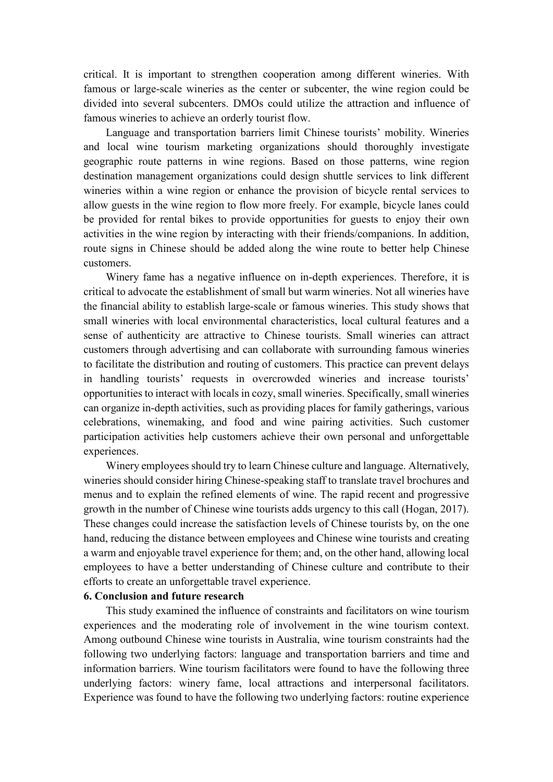critical. It is important to strengthen cooperation among different wineries. With famous or large-scale wineries as the center or subcenter, the wine region could be divided into several subcenters. DMOs could utilize the attraction and influence of famous wineries to achieve an orderly tourist flow.

Language and transportation barriers limit Chinese tourists' mobility. Wineries and local wine tourism marketing organizations should thoroughly investigate geographic route patterns in wine regions. Based on those patterns, wine region destination management organizations could design shuttle services to link different wineries within a wine region or enhance the provision of bicycle rental services to allow guests in the wine region to flow more freely. For example, bicycle lanes could be provided for rental bikes to provide opportunities for guests to enjoy their own activities in the wine region by interacting with their friends/companions. In addition, route signs in Chinese should be added along the wine route to better help Chinese customers.

Winery fame has a negative influence on in-depth experiences. Therefore, it is critical to advocate the establishment of small but warm wineries. Not all wineries have the financial ability to establish large-scale or famous wineries. This study shows that small wineries with local environmental characteristics, local cultural features and a sense of authenticity are attractive to Chinese tourists. Small wineries can attract customers through advertising and can collaborate with surrounding famous wineries to facilitate the distribution and routing of customers. This practice can prevent delays in handling tourists' requests in overcrowded wineries and increase tourists' opportunities to interact with locals in cozy, small wineries. Specifically, small wineries can organize in-depth activities, such as providing places for family gatherings, various celebrations, winemaking, and food and wine pairing activities. Such customer participation activities help customers achieve their own personal and unforgettable experiences.

Winery employees should try to learn Chinese culture and language. Alternatively, wineries should consider hiring Chinese-speaking staff to translate travel brochures and menus and to explain the refined elements of wine. The rapid recent and progressive growth in the number of Chinese wine tourists adds urgency to this call (Hogan, 2017). These changes could increase the satisfaction levels of Chinese tourists by, on the one hand, reducing the distance between employees and Chinese wine tourists and creating a warm and enjoyable travel experience for them; and, on the other hand, allowing local employees to have a better understanding of Chinese culture and contribute to their efforts to create an unforgettable travel experience.

## **6. Conclusion and future research**

This study examined the influence of constraints and facilitators on wine tourism experiences and the moderating role of involvement in the wine tourism context. Among outbound Chinese wine tourists in Australia, wine tourism constraints had the following two underlying factors: language and transportation barriers and time and information barriers. Wine tourism facilitators were found to have the following three underlying factors: winery fame, local attractions and interpersonal facilitators. Experience was found to have the following two underlying factors: routine experience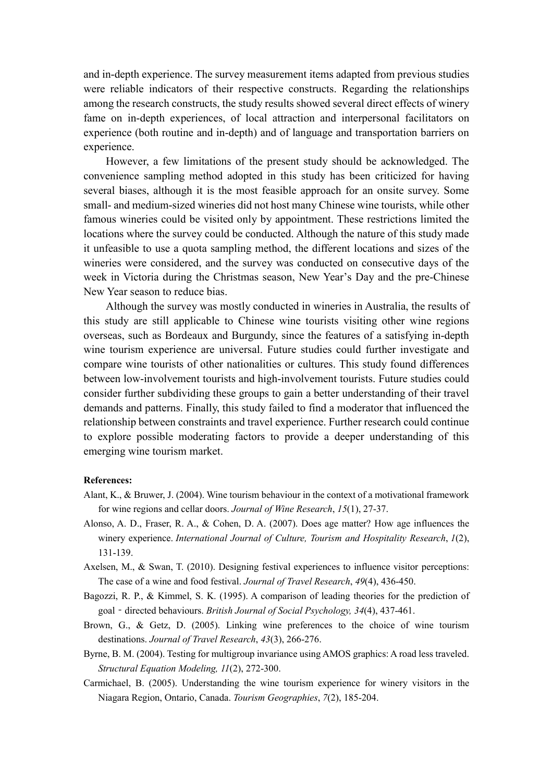and in-depth experience. The survey measurement items adapted from previous studies were reliable indicators of their respective constructs. Regarding the relationships among the research constructs, the study results showed several direct effects of winery fame on in-depth experiences, of local attraction and interpersonal facilitators on experience (both routine and in-depth) and of language and transportation barriers on experience.

However, a few limitations of the present study should be acknowledged. The convenience sampling method adopted in this study has been criticized for having several biases, although it is the most feasible approach for an onsite survey. Some small- and medium-sized wineries did not host many Chinese wine tourists, while other famous wineries could be visited only by appointment. These restrictions limited the locations where the survey could be conducted. Although the nature of this study made it unfeasible to use a quota sampling method, the different locations and sizes of the wineries were considered, and the survey was conducted on consecutive days of the week in Victoria during the Christmas season, New Year's Day and the pre-Chinese New Year season to reduce bias.

Although the survey was mostly conducted in wineries in Australia, the results of this study are still applicable to Chinese wine tourists visiting other wine regions overseas, such as Bordeaux and Burgundy, since the features of a satisfying in-depth wine tourism experience are universal. Future studies could further investigate and compare wine tourists of other nationalities or cultures. This study found differences between low-involvement tourists and high-involvement tourists. Future studies could consider further subdividing these groups to gain a better understanding of their travel demands and patterns. Finally, this study failed to find a moderator that influenced the relationship between constraints and travel experience. Further research could continue to explore possible moderating factors to provide a deeper understanding of this emerging wine tourism market.

#### **References:**

- Alant, K., & Bruwer, J. (2004). Wine tourism behaviour in the context of a motivational framework for wine regions and cellar doors. *Journal of Wine Research*, *15*(1), 27-37.
- Alonso, A. D., Fraser, R. A., & Cohen, D. A. (2007). Does age matter? How age influences the winery experience. *International Journal of Culture, Tourism and Hospitality Research*, *1*(2), 131-139.
- Axelsen, M., & Swan, T. (2010). Designing festival experiences to influence visitor perceptions: The case of a wine and food festival. *Journal of Travel Research*, *49*(4), 436-450.
- Bagozzi, R. P., & Kimmel, S. K. (1995). A comparison of leading theories for the prediction of goal - directed behaviours. *British Journal of Social Psychology, 34*(4), 437-461.
- Brown, G., & Getz, D. (2005). Linking wine preferences to the choice of wine tourism destinations. *Journal of Travel Research*, *43*(3), 266-276.
- Byrne, B. M. (2004). Testing for multigroup invariance using AMOS graphics: A road less traveled. *Structural Equation Modeling, 11*(2), 272-300.
- Carmichael, B. (2005). Understanding the wine tourism experience for winery visitors in the Niagara Region, Ontario, Canada. *Tourism Geographies*, *7*(2), 185-204.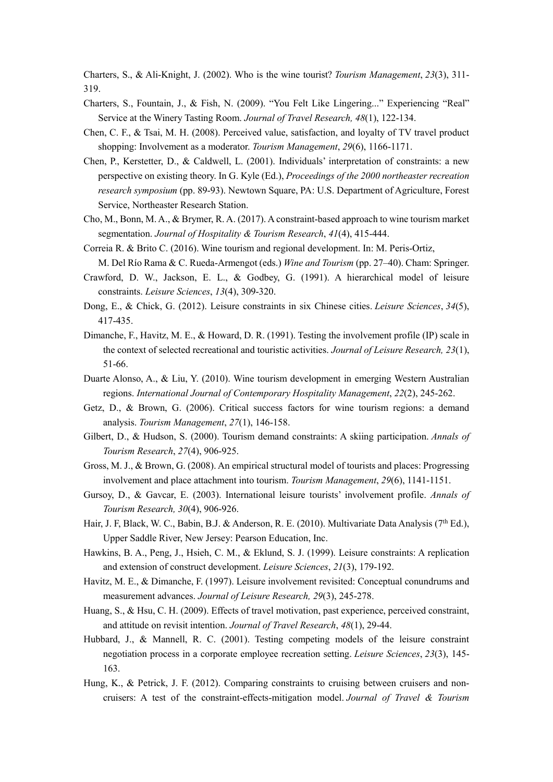Charters, S., & Ali-Knight, J. (2002). Who is the wine tourist? *Tourism Management*, *23*(3), 311- 319.

- Charters, S., Fountain, J., & Fish, N. (2009). "You Felt Like Lingering..." Experiencing "Real" Service at the Winery Tasting Room. *Journal of Travel Research, 48*(1), 122-134.
- Chen, C. F., & Tsai, M. H. (2008). Perceived value, satisfaction, and loyalty of TV travel product shopping: Involvement as a moderator. *Tourism Management*, *29*(6), 1166-1171.
- Chen, P., Kerstetter, D., & Caldwell, L. (2001). Individuals' interpretation of constraints: a new perspective on existing theory. In G. Kyle (Ed.), *Proceedings of the 2000 northeaster recreation research symposium* (pp. 89-93). Newtown Square, PA: U.S. Department of Agriculture, Forest Service, Northeaster Research Station.
- Cho, M., Bonn, M. A., & Brymer, R. A. (2017). A constraint-based approach to wine tourism market segmentation. *Journal of Hospitality & Tourism Research*, *41*(4), 415-444.
- Correia R. & Brito C. (2016). Wine tourism and regional development. In: M. Peris-Ortiz, M. Del Río Rama & C. Rueda-Armengot (eds.) *Wine and Tourism* (pp. 27–40). Cham: Springer.
- Crawford, D. W., Jackson, E. L., & Godbey, G. (1991). A hierarchical model of leisure constraints. *Leisure Sciences*, *13*(4), 309-320.
- Dong, E., & Chick, G. (2012). Leisure constraints in six Chinese cities. *Leisure Sciences*, *34*(5), 417-435.
- Dimanche, F., Havitz, M. E., & Howard, D. R. (1991). Testing the involvement profile (IP) scale in the context of selected recreational and touristic activities. *Journal of Leisure Research, 23*(1), 51-66.
- Duarte Alonso, A., & Liu, Y. (2010). Wine tourism development in emerging Western Australian regions. *International Journal of Contemporary Hospitality Management*, *22*(2), 245-262.
- Getz, D., & Brown, G. (2006). Critical success factors for wine tourism regions: a demand analysis. *Tourism Management*, *27*(1), 146-158.
- Gilbert, D., & Hudson, S. (2000). Tourism demand constraints: A skiing participation. *Annals of Tourism Research*, *27*(4), 906-925.
- Gross, M. J., & Brown, G. (2008). An empirical structural model of tourists and places: Progressing involvement and place attachment into tourism. *Tourism Management*, *29*(6), 1141-1151.
- Gursoy, D., & Gavcar, E. (2003). International leisure tourists' involvement profile. *Annals of Tourism Research, 30*(4), 906-926.
- Hair, J. F, Black, W. C., Babin, B.J. & Anderson, R. E. (2010). Multivariate Data Analysis (7th Ed.), Upper Saddle River, New Jersey: Pearson Education, Inc.
- Hawkins, B. A., Peng, J., Hsieh, C. M., & Eklund, S. J. (1999). Leisure constraints: A replication and extension of construct development. *Leisure Sciences*, *21*(3), 179-192.
- Havitz, M. E., & Dimanche, F. (1997). Leisure involvement revisited: Conceptual conundrums and measurement advances. *Journal of Leisure Research, 29*(3), 245-278.
- Huang, S., & Hsu, C. H. (2009). Effects of travel motivation, past experience, perceived constraint, and attitude on revisit intention. *Journal of Travel Research*, *48*(1), 29-44.
- Hubbard, J., & Mannell, R. C. (2001). Testing competing models of the leisure constraint negotiation process in a corporate employee recreation setting. *Leisure Sciences*, *23*(3), 145- 163.
- Hung, K., & Petrick, J. F. (2012). Comparing constraints to cruising between cruisers and noncruisers: A test of the constraint-effects-mitigation model. *Journal of Travel & Tourism*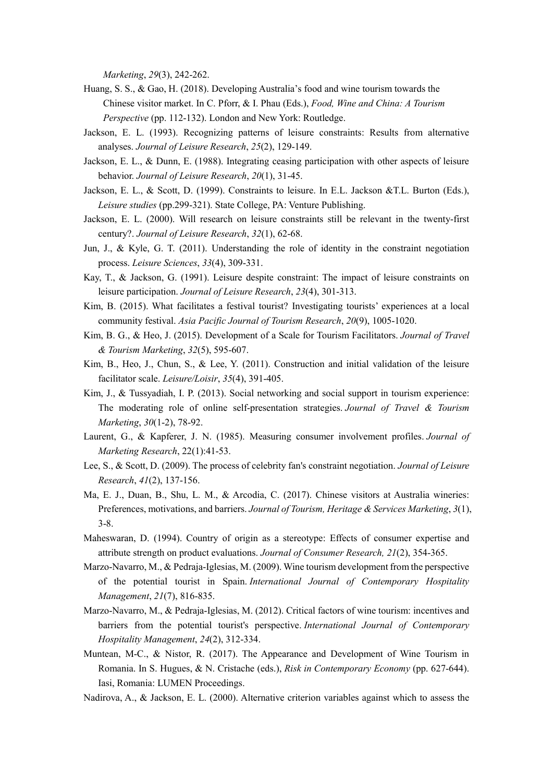*Marketing*, *29*(3), 242-262.

- Huang, S. S., & Gao, H. (2018). Developing Australia's food and wine tourism towards the Chinese visitor market. In C. Pforr, & I. Phau (Eds.), *Food, Wine and China: A Tourism Perspective* (pp. 112-132). London and New York: Routledge.
- Jackson, E. L. (1993). Recognizing patterns of leisure constraints: Results from alternative analyses. *Journal of Leisure Research*, *25*(2), 129-149.
- Jackson, E. L., & Dunn, E. (1988). Integrating ceasing participation with other aspects of leisure behavior. *Journal of Leisure Research*, *20*(1), 31-45.
- Jackson, E. L., & Scott, D. (1999). Constraints to leisure. In E.L. Jackson &T.L. Burton (Eds.), *Leisure studies* (pp.299-321). State College, PA: Venture Publishing.
- Jackson, E. L. (2000). Will research on leisure constraints still be relevant in the twenty-first century?. *Journal of Leisure Research*, *32*(1), 62-68.
- Jun, J., & Kyle, G. T. (2011). Understanding the role of identity in the constraint negotiation process. *Leisure Sciences*, *33*(4), 309-331.
- Kay, T., & Jackson, G. (1991). Leisure despite constraint: The impact of leisure constraints on leisure participation. *Journal of Leisure Research*, *23*(4), 301-313.
- Kim, B. (2015). What facilitates a festival tourist? Investigating tourists' experiences at a local community festival. *Asia Pacific Journal of Tourism Research*, *20*(9), 1005-1020.
- Kim, B. G., & Heo, J. (2015). Development of a Scale for Tourism Facilitators. *Journal of Travel & Tourism Marketing*, *32*(5), 595-607.
- Kim, B., Heo, J., Chun, S., & Lee, Y. (2011). Construction and initial validation of the leisure facilitator scale. *Leisure/Loisir*, *35*(4), 391-405.
- Kim, J., & Tussyadiah, I. P. (2013). Social networking and social support in tourism experience: The moderating role of online self-presentation strategies. *Journal of Travel & Tourism Marketing*, *30*(1-2), 78-92.
- Laurent, G., & Kapferer, J. N. (1985). Measuring consumer involvement profiles. *Journal of Marketing Research*, 22(1):41-53.
- Lee, S., & Scott, D. (2009). The process of celebrity fan's constraint negotiation. *Journal of Leisure Research*, *41*(2), 137-156.
- Ma, E. J., Duan, B., Shu, L. M., & Arcodia, C. (2017). Chinese visitors at Australia wineries: Preferences, motivations, and barriers. *Journal of Tourism, Heritage & Services Marketing*, *3*(1), 3-8.
- Maheswaran, D. (1994). Country of origin as a stereotype: Effects of consumer expertise and attribute strength on product evaluations. *Journal of Consumer Research, 21*(2), 354-365.
- Marzo-Navarro, M., & Pedraja-Iglesias, M. (2009). Wine tourism development from the perspective of the potential tourist in Spain. *International Journal of Contemporary Hospitality Management*, *21*(7), 816-835.
- Marzo-Navarro, M., & Pedraja-Iglesias, M. (2012). Critical factors of wine tourism: incentives and barriers from the potential tourist's perspective. *International Journal of Contemporary Hospitality Management*, *24*(2), 312-334.
- Muntean, M-C., & Nistor, R. (2017). The Appearance and Development of Wine Tourism in Romania. In S. Hugues, & N. Cristache (eds.), *Risk in Contemporary Economy* (pp. 627-644). Iasi, Romania: LUMEN Proceedings.
- Nadirova, A., & Jackson, E. L. (2000). Alternative criterion variables against which to assess the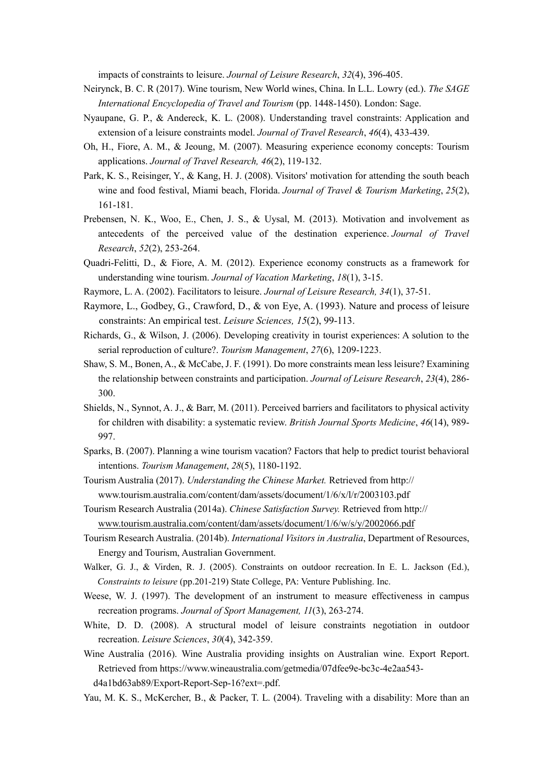impacts of constraints to leisure. *Journal of Leisure Research*, *32*(4), 396-405.

- Neirynck, B. C. R (2017). Wine tourism, New World wines, China. In L.L. Lowry (ed.). *The SAGE International Encyclopedia of Travel and Tourism* (pp. 1448-1450). London: Sage.
- Nyaupane, G. P., & Andereck, K. L. (2008). Understanding travel constraints: Application and extension of a leisure constraints model. *Journal of Travel Research*, *46*(4), 433-439.
- Oh, H., Fiore, A. M., & Jeoung, M. (2007). Measuring experience economy concepts: Tourism applications. *Journal of Travel Research, 46*(2), 119-132.
- Park, K. S., Reisinger, Y., & Kang, H. J. (2008). Visitors' motivation for attending the south beach wine and food festival, Miami beach, Florida. *Journal of Travel & Tourism Marketing*, *25*(2), 161-181.
- Prebensen, N. K., Woo, E., Chen, J. S., & Uysal, M. (2013). Motivation and involvement as antecedents of the perceived value of the destination experience. *Journal of Travel Research*, *52*(2), 253-264.
- Quadri-Felitti, D., & Fiore, A. M. (2012). Experience economy constructs as a framework for understanding wine tourism. *Journal of Vacation Marketing*, *18*(1), 3-15.
- Raymore, L. A. (2002). Facilitators to leisure. *Journal of Leisure Research, 34*(1), 37-51.
- Raymore, L., Godbey, G., Crawford, D., & von Eye, A. (1993). Nature and process of leisure constraints: An empirical test. *Leisure Sciences, 15*(2), 99-113.
- Richards, G., & Wilson, J. (2006). Developing creativity in tourist experiences: A solution to the serial reproduction of culture?. *Tourism Management*, *27*(6), 1209-1223.
- Shaw, S. M., Bonen, A., & McCabe, J. F. (1991). Do more constraints mean less leisure? Examining the relationship between constraints and participation. *Journal of Leisure Research*, *23*(4), 286- 300.
- Shields, N., Synnot, A. J., & Barr, M. (2011). Perceived barriers and facilitators to physical activity for children with disability: a systematic review. *British Journal Sports Medicine*, *46*(14), 989- 997.
- Sparks, B. (2007). Planning a wine tourism vacation? Factors that help to predict tourist behavioral intentions. *Tourism Management*, *28*(5), 1180-1192.
- Tourism Australia (2017). *Understanding the Chinese Market.* Retrieved from http:// www.tourism.australia.com/content/dam/assets/document/1/6/x/l/r/2003103.pdf
- Tourism Research Australia (2014a). *Chinese Satisfaction Survey.* Retrieved from http:// [www.tourism.australia.com/content/dam/assets/document/1/6/w/s/y/2002066.pdf](http://www.tourism.australia.com/content/dam/assets/document/1/6/w/s/y/2002066.pdf)
- Tourism Research Australia. (2014b). *International Visitors in Australia*, Department of Resources, Energy and Tourism, Australian Government.
- Walker, G. J., & Virden, R. J. (2005). Constraints on outdoor recreation. In E. L. Jackson (Ed.), *Constraints to leisure* (pp.201-219) State College, PA: Venture Publishing. Inc.
- Weese, W. J. (1997). The development of an instrument to measure effectiveness in campus recreation programs. *Journal of Sport Management, 11*(3), 263-274.
- White, D. D. (2008). A structural model of leisure constraints negotiation in outdoor recreation. *Leisure Sciences*, *30*(4), 342-359.
- Wine Australia (2016). Wine Australia providing insights on Australian wine. Export Report. Retrieved from https://www.wineaustralia.com/getmedia/07dfee9e-bc3c-4e2aa543 d4a1bd63ab89/Export-Report-Sep-16?ext=.pdf.
- Yau, M. K. S., McKercher, B., & Packer, T. L. (2004). Traveling with a disability: More than an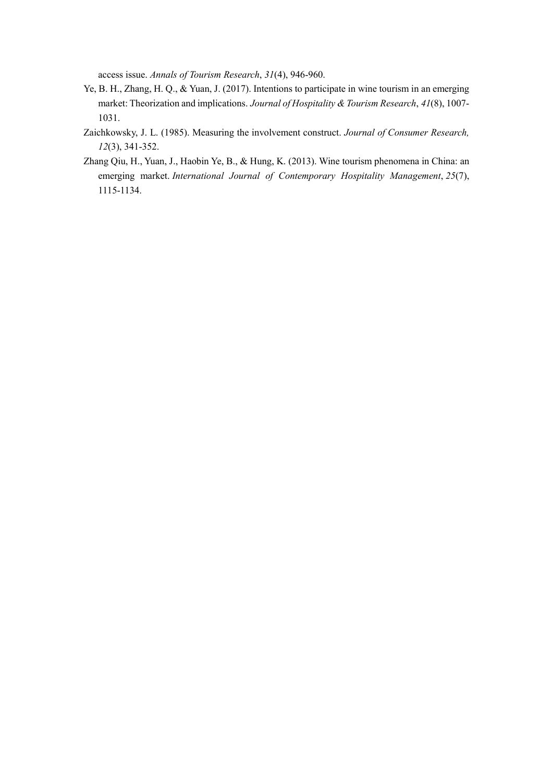access issue. *Annals of Tourism Research*, *31*(4), 946-960.

- Ye, B. H., Zhang, H. Q., & Yuan, J. (2017). Intentions to participate in wine tourism in an emerging market: Theorization and implications. *Journal of Hospitality & Tourism Research*, *41*(8), 1007- 1031.
- Zaichkowsky, J. L. (1985). Measuring the involvement construct. *Journal of Consumer Research, 12*(3), 341-352.
- Zhang Qiu, H., Yuan, J., Haobin Ye, B., & Hung, K. (2013). Wine tourism phenomena in China: an emerging market. *International Journal of Contemporary Hospitality Management*, *25*(7), 1115-1134.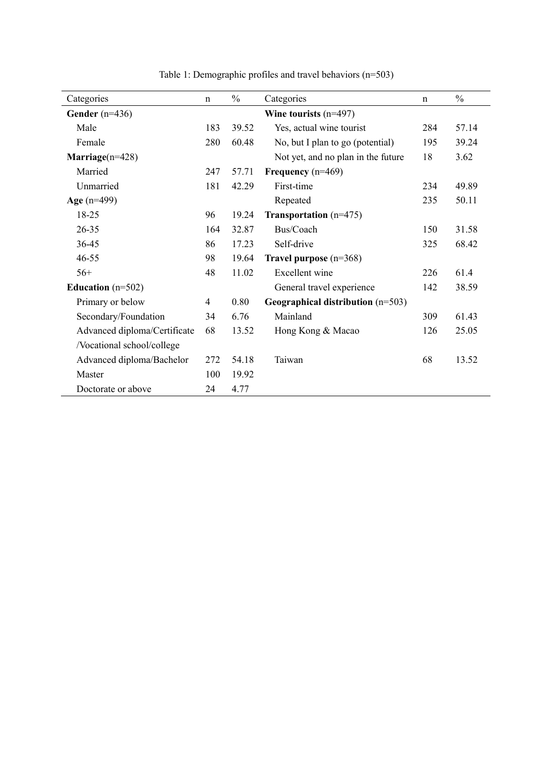| Categories                   | $\mathbf n$ | $\frac{0}{0}$ | Categories                          | $\mathbf n$ | $\frac{0}{0}$ |
|------------------------------|-------------|---------------|-------------------------------------|-------------|---------------|
| Gender $(n=436)$             |             |               | Wine tourists $(n=497)$             |             |               |
| Male                         | 183         | 39.52         | Yes, actual wine tourist            | 284         | 57.14         |
| Female                       | 280         | 60.48         | No, but I plan to go (potential)    | 195         | 39.24         |
| Marriage $(n=428)$           |             |               | Not yet, and no plan in the future  | 18          | 3.62          |
| Married                      | 247         | 57.71         | Frequency $(n=469)$                 |             |               |
| Unmarried                    | 181         | 42.29         | First-time                          | 234         | 49.89         |
| Age $(n=499)$                |             |               | Repeated                            | 235         | 50.11         |
| 18-25                        | 96          | 19.24         | <b>Transportation</b> $(n=475)$     |             |               |
| $26 - 35$                    | 164         | 32.87         | Bus/Coach                           | 150         | 31.58         |
| 36-45                        | 86          | 17.23         | Self-drive                          | 325         | 68.42         |
| $46 - 55$                    | 98          | 19.64         | Travel purpose $(n=368)$            |             |               |
| $56+$                        | 48          | 11.02         | Excellent wine                      | 226         | 61.4          |
| Education $(n=502)$          |             |               | General travel experience           | 142         | 38.59         |
| Primary or below             | 4           | 0.80          | Geographical distribution $(n=503)$ |             |               |
| Secondary/Foundation         | 34          | 6.76          | Mainland                            | 309         | 61.43         |
| Advanced diploma/Certificate | 68          | 13.52         | Hong Kong & Macao                   | 126         | 25.05         |
| /Vocational school/college   |             |               |                                     |             |               |
| Advanced diploma/Bachelor    | 272         | 54.18         | Taiwan                              | 68          | 13.52         |
| Master                       | 100         | 19.92         |                                     |             |               |
| Doctorate or above           | 24          | 4.77          |                                     |             |               |

Table 1: Demographic profiles and travel behaviors (n=503)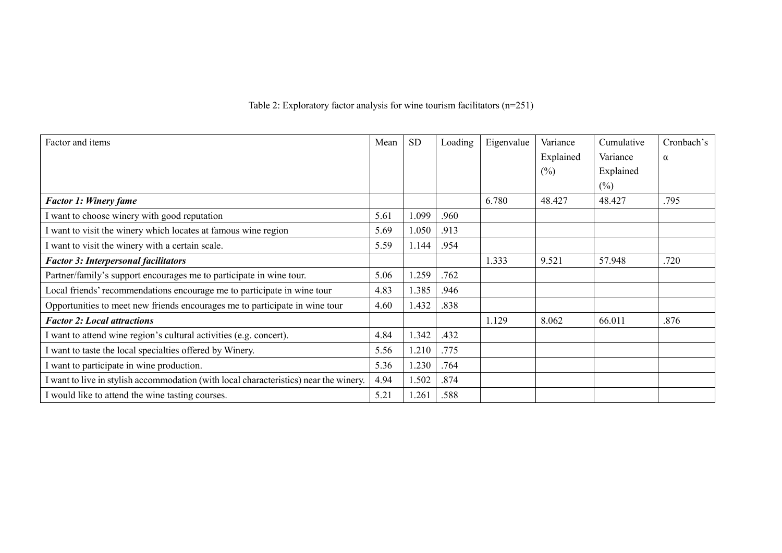# Table 2: Exploratory factor analysis for wine tourism facilitators (n=251)

| Factor and items                                                                    | Mean | <b>SD</b> | Loading | Eigenvalue | Variance  | Cumulative | Cronbach's |
|-------------------------------------------------------------------------------------|------|-----------|---------|------------|-----------|------------|------------|
|                                                                                     |      |           |         |            | Explained | Variance   | $\alpha$   |
|                                                                                     |      |           |         |            | $(\%)$    | Explained  |            |
|                                                                                     |      |           |         |            |           | $(\%)$     |            |
| <b>Factor 1: Winery fame</b>                                                        |      |           |         | 6.780      | 48.427    | 48.427     | .795       |
| want to choose winery with good reputation                                          | 5.61 | 1.099     | .960    |            |           |            |            |
| want to visit the winery which locates at famous wine region                        | 5.69 | 1.050     | .913    |            |           |            |            |
| want to visit the winery with a certain scale.                                      | 5.59 | 1.144     | .954    |            |           |            |            |
| <b>Factor 3: Interpersonal facilitators</b>                                         |      |           |         | 1.333      | 9.521     | 57.948     | .720       |
| Partner/family's support encourages me to participate in wine tour.                 | 5.06 | 1.259     | .762    |            |           |            |            |
| Local friends' recommendations encourage me to participate in wine tour             | 4.83 | 1.385     | .946    |            |           |            |            |
| Opportunities to meet new friends encourages me to participate in wine tour         | 4.60 | 1.432     | .838    |            |           |            |            |
| <b>Factor 2: Local attractions</b>                                                  |      |           |         | 1.129      | 8.062     | 66.011     | .876       |
| want to attend wine region's cultural activities (e.g. concert).                    | 4.84 | 1.342     | .432    |            |           |            |            |
| want to taste the local specialties offered by Winery.                              | 5.56 | 1.210     | .775    |            |           |            |            |
| want to participate in wine production.                                             | 5.36 | 1.230     | .764    |            |           |            |            |
| want to live in stylish accommodation (with local characteristics) near the winery. | 4.94 | 1.502     | .874    |            |           |            |            |
| I would like to attend the wine tasting courses.                                    | 5.21 | 1.261     | .588    |            |           |            |            |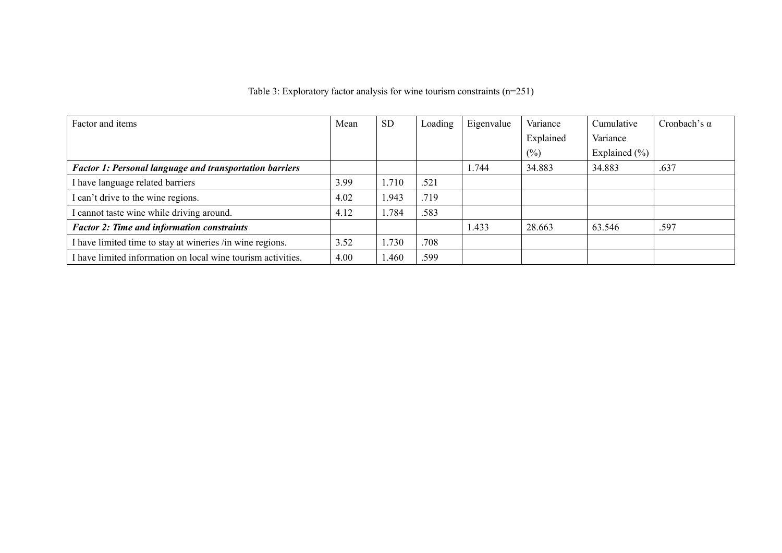| Table 3: Exploratory factor analysis for wine tourism constraints $(n=251)$ |  |  |  |  |
|-----------------------------------------------------------------------------|--|--|--|--|
|                                                                             |  |  |  |  |

| Factor and items                                               | Mean | <b>SD</b> | Loading | Eigenvalue | Variance  | Cumulative        | Cronbach's $\alpha$ |
|----------------------------------------------------------------|------|-----------|---------|------------|-----------|-------------------|---------------------|
|                                                                |      |           |         |            | Explained | Variance          |                     |
|                                                                |      |           |         |            | $(\%)$    | Explained $(\% )$ |                     |
| <b>Factor 1: Personal language and transportation barriers</b> |      |           |         | 1.744      | 34.883    | 34.883            | .637                |
| I have language related barriers                               | 3.99 | 1.710     | .521    |            |           |                   |                     |
| I can't drive to the wine regions.                             | 4.02 | 943. ا    | .719    |            |           |                   |                     |
| I cannot taste wine while driving around.                      | 4.12 | .784      | .583    |            |           |                   |                     |
| <b>Factor 2: Time and information constraints</b>              |      |           |         | 1.433      | 28.663    | 63.546            | .597                |
| I have limited time to stay at wineries /in wine regions.      | 3.52 | 1.730     | .708    |            |           |                   |                     |
| I have limited information on local wine tourism activities.   | 4.00 | .460      | .599    |            |           |                   |                     |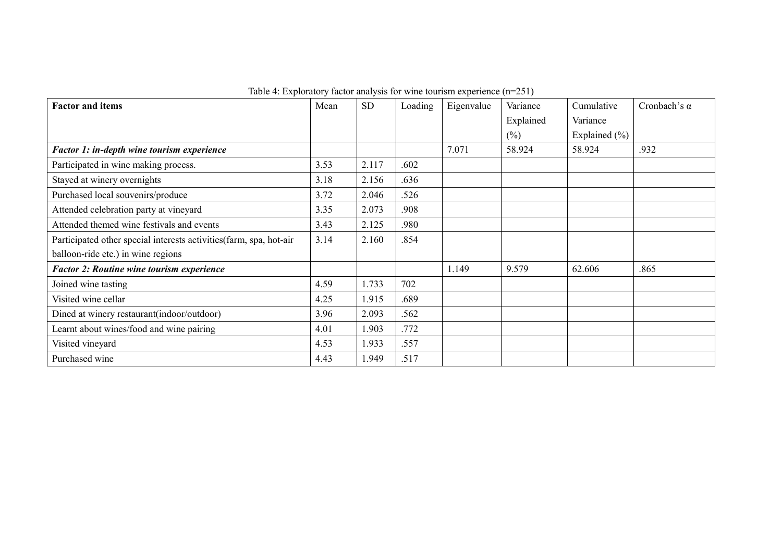| <b>Factor and items</b>                                             | Mean | <b>SD</b> | Loading | Eigenvalue | Variance  | Cumulative    | Cronbach's $\alpha$ |
|---------------------------------------------------------------------|------|-----------|---------|------------|-----------|---------------|---------------------|
|                                                                     |      |           |         |            | Explained | Variance      |                     |
|                                                                     |      |           |         |            | $(\%)$    | Explained (%) |                     |
| Factor 1: in-depth wine tourism experience                          |      |           |         | 7.071      | 58.924    | 58.924        | .932                |
| Participated in wine making process.                                | 3.53 | 2.117     | .602    |            |           |               |                     |
| Stayed at winery overnights                                         | 3.18 | 2.156     | .636    |            |           |               |                     |
| Purchased local souvenirs/produce                                   | 3.72 | 2.046     | .526    |            |           |               |                     |
| Attended celebration party at vineyard                              | 3.35 | 2.073     | .908    |            |           |               |                     |
| Attended themed wine festivals and events                           | 3.43 | 2.125     | .980    |            |           |               |                     |
| Participated other special interests activities (farm, spa, hot-air | 3.14 | 2.160     | .854    |            |           |               |                     |
| balloon-ride etc.) in wine regions                                  |      |           |         |            |           |               |                     |
| <b>Factor 2: Routine wine tourism experience</b>                    |      |           |         | 1.149      | 9.579     | 62.606        | .865                |
| Joined wine tasting                                                 | 4.59 | 1.733     | 702     |            |           |               |                     |
| Visited wine cellar                                                 | 4.25 | 1.915     | .689    |            |           |               |                     |
| Dined at winery restaurant (indoor/outdoor)                         | 3.96 | 2.093     | .562    |            |           |               |                     |
| Learnt about wines/food and wine pairing                            | 4.01 | 1.903     | .772    |            |           |               |                     |
| Visited vineyard                                                    | 4.53 | 1.933     | .557    |            |           |               |                     |
| Purchased wine                                                      | 4.43 | 1.949     | .517    |            |           |               |                     |

Table 4: Exploratory factor analysis for wine tourism experience (n=251)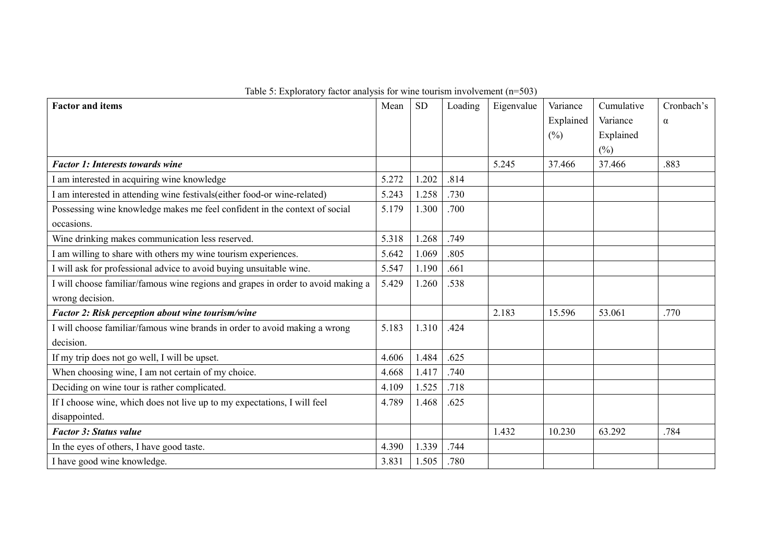| <b>Factor and items</b>                                                          | Mean  | <b>SD</b> | Loading | Eigenvalue | Variance  | Cumulative | Cronbach's |
|----------------------------------------------------------------------------------|-------|-----------|---------|------------|-----------|------------|------------|
|                                                                                  |       |           |         |            | Explained | Variance   | $\alpha$   |
|                                                                                  |       |           |         |            | $(\%)$    | Explained  |            |
|                                                                                  |       |           |         |            |           | $(\%)$     |            |
| <b>Factor 1: Interests towards wine</b>                                          |       |           |         | 5.245      | 37.466    | 37.466     | .883       |
| I am interested in acquiring wine knowledge                                      | 5.272 | 1.202     | .814    |            |           |            |            |
| I am interested in attending wine festivals(either food-or wine-related)         | 5.243 | 1.258     | .730    |            |           |            |            |
| Possessing wine knowledge makes me feel confident in the context of social       | 5.179 | 1.300     | .700    |            |           |            |            |
| occasions.                                                                       |       |           |         |            |           |            |            |
| Wine drinking makes communication less reserved.                                 | 5.318 | 1.268     | .749    |            |           |            |            |
| I am willing to share with others my wine tourism experiences.                   | 5.642 | 1.069     | .805    |            |           |            |            |
| I will ask for professional advice to avoid buying unsuitable wine.              | 5.547 | 1.190     | .661    |            |           |            |            |
| I will choose familiar/famous wine regions and grapes in order to avoid making a | 5.429 | 1.260     | .538    |            |           |            |            |
| wrong decision.                                                                  |       |           |         |            |           |            |            |
| Factor 2: Risk perception about wine tourism/wine                                |       |           |         | 2.183      | 15.596    | 53.061     | .770       |
| I will choose familiar/famous wine brands in order to avoid making a wrong       | 5.183 | 1.310     | .424    |            |           |            |            |
| decision.                                                                        |       |           |         |            |           |            |            |
| If my trip does not go well, I will be upset.                                    | 4.606 | 1.484     | .625    |            |           |            |            |
| When choosing wine, I am not certain of my choice.                               | 4.668 | 1.417     | .740    |            |           |            |            |
| Deciding on wine tour is rather complicated.                                     | 4.109 | 1.525     | .718    |            |           |            |            |
| If I choose wine, which does not live up to my expectations, I will feel         | 4.789 | 1.468     | .625    |            |           |            |            |
| disappointed.                                                                    |       |           |         |            |           |            |            |
| <b>Factor 3: Status value</b>                                                    |       |           |         | 1.432      | 10.230    | 63.292     | .784       |
| In the eyes of others, I have good taste.                                        | 4.390 | 1.339     | .744    |            |           |            |            |
| I have good wine knowledge.                                                      | 3.831 | 1.505     | .780    |            |           |            |            |

Table 5: Exploratory factor analysis for wine tourism involvement (n=503)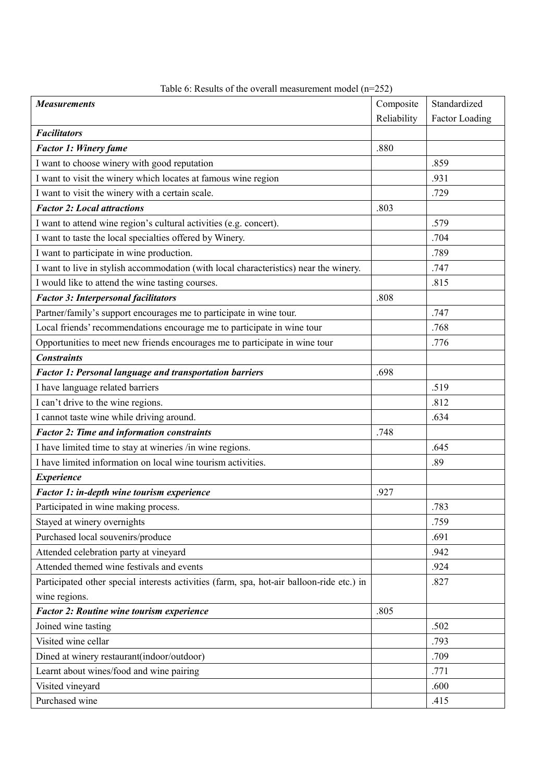| <b>Measurements</b>                                                                       | Composite   | Standardized   |
|-------------------------------------------------------------------------------------------|-------------|----------------|
|                                                                                           | Reliability | Factor Loading |
| <b>Facilitators</b>                                                                       |             |                |
| <b>Factor 1: Winery fame</b>                                                              | .880        |                |
| I want to choose winery with good reputation                                              |             | .859           |
| I want to visit the winery which locates at famous wine region                            |             | .931           |
| I want to visit the winery with a certain scale.                                          |             | .729           |
| <b>Factor 2: Local attractions</b>                                                        | .803        |                |
| I want to attend wine region's cultural activities (e.g. concert).                        |             | .579           |
| I want to taste the local specialties offered by Winery.                                  |             | .704           |
| I want to participate in wine production.                                                 |             | .789           |
| I want to live in stylish accommodation (with local characteristics) near the winery.     |             | .747           |
| I would like to attend the wine tasting courses.                                          |             | .815           |
| <b>Factor 3: Interpersonal facilitators</b>                                               | .808        |                |
| Partner/family's support encourages me to participate in wine tour.                       |             | .747           |
| Local friends' recommendations encourage me to participate in wine tour                   |             | .768           |
| Opportunities to meet new friends encourages me to participate in wine tour               |             | .776           |
| <b>Constraints</b>                                                                        |             |                |
| <b>Factor 1: Personal language and transportation barriers</b>                            | .698        |                |
| I have language related barriers                                                          |             | .519           |
| I can't drive to the wine regions.                                                        |             | .812           |
| I cannot taste wine while driving around.                                                 |             | .634           |
| <b>Factor 2: Time and information constraints</b>                                         | .748        |                |
| I have limited time to stay at wineries /in wine regions.                                 |             | .645           |
| I have limited information on local wine tourism activities.                              |             | .89            |
| <b>Experience</b>                                                                         |             |                |
| Factor 1: in-depth wine tourism experience                                                | .927        |                |
| Participated in wine making process.                                                      |             | .783           |
| Stayed at winery overnights                                                               |             | .759           |
| Purchased local souvenirs/produce                                                         |             | .691           |
| Attended celebration party at vineyard                                                    |             | .942           |
| Attended themed wine festivals and events                                                 |             | .924           |
| Participated other special interests activities (farm, spa, hot-air balloon-ride etc.) in |             | .827           |
| wine regions.                                                                             |             |                |
| <b>Factor 2: Routine wine tourism experience</b>                                          | .805        |                |
| Joined wine tasting                                                                       |             | .502           |
| Visited wine cellar                                                                       |             | .793           |
| Dined at winery restaurant(indoor/outdoor)                                                |             | .709           |
| Learnt about wines/food and wine pairing                                                  |             | .771           |
| Visited vineyard                                                                          |             | .600           |
| Purchased wine                                                                            |             | .415           |

# Table 6: Results of the overall measurement model (n=252)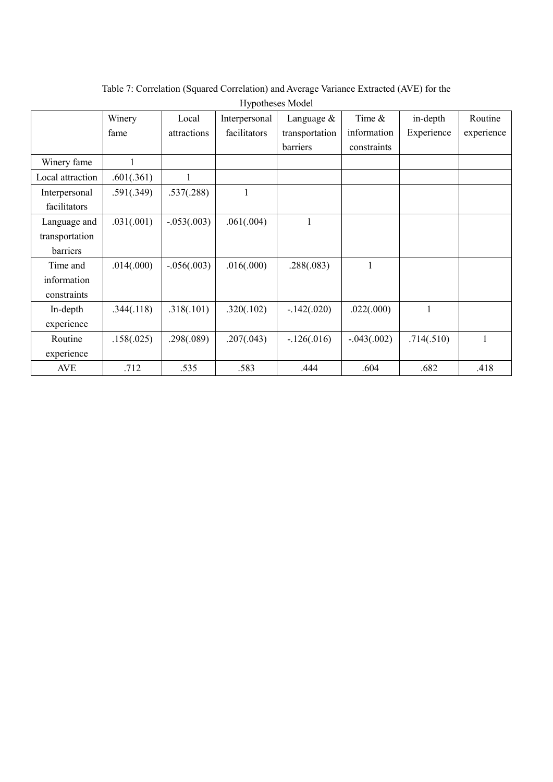|                  | Winery     | Local         | Interpersonal | Language &     | Time &        | in-depth     | Routine      |
|------------------|------------|---------------|---------------|----------------|---------------|--------------|--------------|
|                  | fame       | attractions   | facilitators  | transportation | information   | Experience   | experience   |
|                  |            |               |               | barriers       | constraints   |              |              |
| Winery fame      | 1          |               |               |                |               |              |              |
| Local attraction | .601(.361) | 1             |               |                |               |              |              |
| Interpersonal    | .591(.349) | .537(.288)    | 1             |                |               |              |              |
| facilitators     |            |               |               |                |               |              |              |
| Language and     | .031(.001) | $-.053(.003)$ | .061(.004)    | 1              |               |              |              |
| transportation   |            |               |               |                |               |              |              |
| barriers         |            |               |               |                |               |              |              |
| Time and         | .014(.000) | $-.056(.003)$ | .016(.000)    | .288(.083)     | 1             |              |              |
| information      |            |               |               |                |               |              |              |
| constraints      |            |               |               |                |               |              |              |
| In-depth         | .344(.118) | .318(.101)    | .320(.102)    | $-.142(.020)$  | .022(.000)    | $\mathbf{1}$ |              |
| experience       |            |               |               |                |               |              |              |
| Routine          | .158(.025) | .298(.089)    | .207(.043)    | $-126(.016)$   | $-.043(.002)$ | .714(.510)   | $\mathbf{1}$ |
| experience       |            |               |               |                |               |              |              |
| <b>AVE</b>       | .712       | .535          | .583          | .444           | .604          | .682         | .418         |

Table 7: Correlation (Squared Correlation) and Average Variance Extracted (AVE) for the Hypotheses Model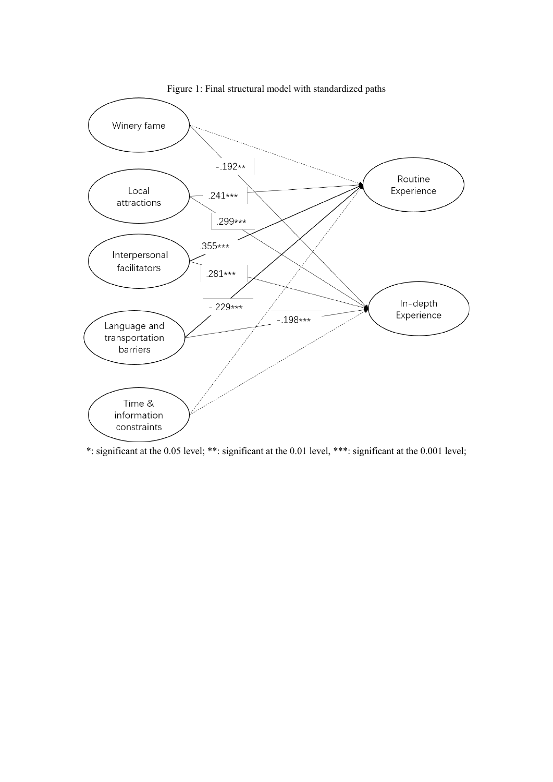

Figure 1: Final structural model with standardized paths

\*: significant at the 0.05 level; \*\*: significant at the 0.01 level, \*\*\*: significant at the 0.001 level;